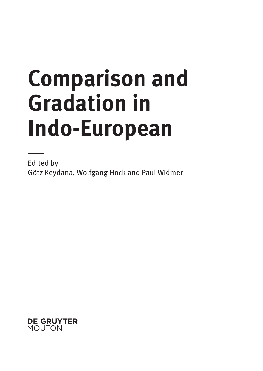# **Comparison and Gradation in Indo-European**

Edited by Götz Keydana, Wolfgang Hock and Paul Widmer

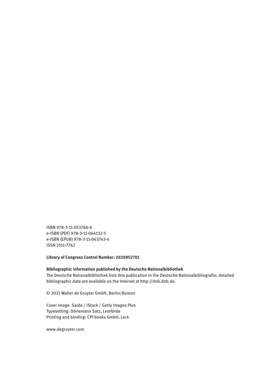ISBN 978-3-11-053766-6 e-ISBN (PDF) 978-3-11-064132-5 e-ISBN (EPUB) 978-3-11-063743-4 ISSN 2511-7742

**Library of Congress Control Number: 2020952701**

**Bibliographic information published by the Deutsche Nationalbibliothek** The Deutsche Nationalbibliothek lists this publication in the Deutsche Nationalbibliografie; detailed bibliographic data are available on the Internet at http://dnb.dnb.de.

© 2021 Walter de Gruyter GmbH, Berlin/Boston

Cover image: Saida / iStock / Getty Images Plus Typesetting: Dörlemann Satz, Lemförde Printing and binding: CPI books GmbH, Leck

www.degruyter.com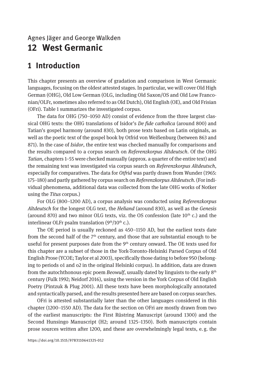# Agnes Jäger and George Walkden **12 West Germanic**

# **1 Introduction**

This chapter presents an overview of gradation and comparison in West Germanic languages, focusing on the oldest attested stages. In particular, we will cover Old High German (OHG), Old Low German (OLG, including Old Saxon/OS and Old Low Franconian/OLFr, sometimes also referred to as Old Dutch), Old English (OE), and Old Frisian (OFri). Table 1 summarizes the investigated corpus.

The data for OHG (750–1050 AD) consist of evidence from the three largest classical OHG texts: the OHG translations of Isidor's *De fide catholica* (around 800) and Tatian's gospel harmony (around 830), both prose texts based on Latin originals, as well as the poetic text of the gospel book by Otfrid von Weißenburg (between 863 and 871). In the case of *Isidor*, the entire text was checked manually for comparisons and the results compared to a corpus search on *Referenzkorpus Altdeutsch*. Of the OHG *Tatian*, chapters 1–55 were checked manually (approx. a quarter of the entire text) and the remaining text was investigated via corpus search on *Referenzkorpus Altdeutsch*, especially for comparatives. The data for *Otfrid* was partly drawn from Wunder (1965: 175–180) and partly gathered by corpus search on *Referenzkorpus Altdeutsch*. (For individual phenomena, additional data was collected from the late OHG works of Notker using the *Titus* corpus.)

For OLG (800–1200 AD), a corpus analysis was conducted using *Referenzkorpus Altdeutsch* for the longest OLG text, the *Heliand* (around 830), as well as the *Genesis* (around 870) and two minor OLG texts, viz. the OS confession (late  $10<sup>th</sup>$  c.) and the interlinear OLFr psalm translation  $(9<sup>th</sup>/10<sup>th</sup> c.)$ .

The OE period is usually reckoned as 450–1150 AD, but the earliest texts date from the second half of the  $7<sup>th</sup>$  century, and those that are substantial enough to be useful for present purposes date from the  $9<sup>th</sup>$  century onward. The OE texts used for this chapter are a subset of those in the York-Toronto-Helsinki Parsed Corpus of Old English Prose (YCOE; Taylor et al 2003), specifically those dating to before 950 (belonging to periods o1 and o2 in the original Helsinki corpus). In addition, data are drawn from the autochthonous epic poem *Beowulf*, usually dated by linguists to the early 8th century (Fulk 1992; Neidorf 2016), using the version in the York Corpus of Old English Poetry (Pintzuk & Plug 2001). All these texts have been morphologically annotated and syntactically parsed, and the results presented here are based on corpus searches.

OFri is attested substantially later than the other languages considered in this chapter (1200–1550 AD). The data for the section on OFri are mostly drawn from two of the earliest manuscripts: the First Rüstring Manuscript (around 1300) and the Second Hunsingo Manuscript (H2; around 1325–1350). Both manuscripts contain prose sources written after 1200, and these are overwhelmingly legal texts, e. g. the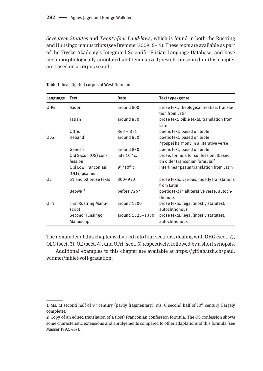*Seventeen Statutes* and *Twenty-four Land-laws*, which is found in both the Rüstring and Hunsingo manuscripts (see Bremmer 2009: 6–15). These texts are available as part of the Fryske Akademy's Integrated Scientific Frisian Language Database, and have been morphologically annotated and lemmatized; results presented in this chapter are based on a corpus search.

| Language    | Text                  | <b>Date</b>             | Text type/genre                                               |
|-------------|-----------------------|-------------------------|---------------------------------------------------------------|
| OHG         | Isidor                | around 800              | prose text, theological treatise, transla-<br>tion from Latin |
|             | Tatian                | around 830              | prose text, bible texts, translation from<br>Latin            |
|             | Otfrid                | $863 - 871$             | poetic text, based on bible                                   |
| OLG         | Heliand               | around 830 <sup>1</sup> | poetic text, based on bible                                   |
|             |                       |                         | /gospel harmony in alliterative verse                         |
|             | Genesis               | around 870              | poetic text, based on bible                                   |
|             | Old Saxon (OS) con-   | late $10th$ c.          | prose, formula for confession; (based                         |
|             | fession               |                         | on older Franconian formula) <sup>2</sup>                     |
|             | Old Low Franconian    | $9th/10th$ c.           | interlinear psalm translation from Latin                      |
|             | (OLFr) psalms         |                         |                                                               |
| 0E          | o1 and o2 prose texts | $800 - 950$             | prose texts, various, mostly translations                     |
|             |                       |                         | from Latin                                                    |
|             | Beowulf               | before 725?             | poetic text in alliterative verse, autoch-                    |
|             |                       |                         | thonous                                                       |
| <b>OFri</b> | First Rüstring Manu-  | around 1300             | prose texts, legal (mostly statutes),                         |
|             | script                |                         | autochthonous                                                 |
|             | Second Hunsingo       | around 1325-1350        | prose texts, legal (mostly statutes),                         |
|             | Manuscript            |                         | autochthonous                                                 |

**Table 1:** Investigated corpus of West Germanic

The remainder of this chapter is divided into four sections, dealing with OHG (sect. 2), OLG (sect. 3), OE (sect. 4), and OFri (sect. 5) respectively, followed by a short synopsis.

Additional examples to this chapter are available at [https://gitlab.uzh.ch/paul.](https://gitlab.uzh.ch/paul.widmer/mhiet-vol1-gradation) [widmer/mhiet-vol1-gradation](https://gitlab.uzh.ch/paul.widmer/mhiet-vol1-gradation).

**<sup>1</sup>** Ms. M second half of 9<sup>th</sup> century (partly fragmentary), ms. C second half of  $10<sup>th</sup>$  century (largely complete).

**<sup>2</sup>** Copy of an edited translation of a (lost) Franconian confession formula. The OS confession shows some characteristic extensions and abridgements compared to other adaptations of this formula (see Masser 1992: 467).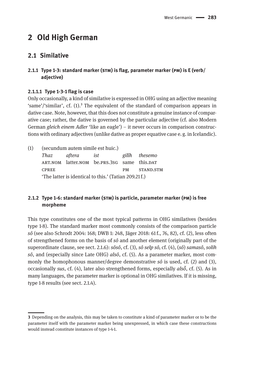# **2 Old High German**

# **2.1 Similative**

# **2.1.1 Type 1-3: standard marker (stm) is flag, parameter marker (pm) is E (verb/ adjective)**

# **2.1.1.1 Type 1-3-1 flag is case**

Only occasionally, a kind of similative is expressed in OHG using an adjective meaning 'same'/'similar', cf.  $(1)$ <sup>3</sup>. The equivalent of the standard of comparison appears in dative case. Note, however, that this does not constitute a genuine instance of comparative case; rather, the dative is governed by the particular adjective (cf. also Modern German *gleich einem Adler* 'like an eagle') – it never occurs in comparison constructions with ordinary adjectives (unlike dative as proper equative case e. g. in Icelandic).

| (1) | (secundum autem simile est huic.)                     |        |                                             |           |               |  |  |  |  |
|-----|-------------------------------------------------------|--------|---------------------------------------------|-----------|---------------|--|--|--|--|
|     | Thaz                                                  | aftera | ist                                         |           | gilîh thesemo |  |  |  |  |
|     |                                                       |        | ART.NOM latter.NOM be.PRS.3SG same this.DAT |           |               |  |  |  |  |
|     | <b>CPREE</b>                                          |        |                                             | <b>PM</b> | STAND.STM     |  |  |  |  |
|     | 'The latter is identical to this.' (Tatian 209.21 f.) |        |                                             |           |               |  |  |  |  |

# **2.1.2 Type 1-6: standard marker (stm) is particle, parameter marker (pm) is free morpheme**

This type constitutes one of the most typical patterns in OHG similatives (besides type 1-8). The standard marker most commonly consists of the comparison particle *sô* (see also Schrodt 2004: 168; DWB 1: 248, Jäger 2018: 61 f., 76, 82), cf. (2), less often of strengthened forms on the basis of *sô* and another element (originally part of the superordinate clause, see sect. 2.1.6): *sôsô*, cf. (3), *sô selp sô,* cf. (4), (*sô*) *samasô*, *solih sô*, and (especially since Late OHG) *alsô*, cf. (5). As a parameter marker, most commonly the homophonous manner/degree demonstrative *sô* is used, cf. (2) and (3), occasionally *sus*, cf. (4), later also strengthened forms, especially *alsō̆*, cf. (5). As in many languages, the parameter marker is optional in OHG similatives. If it is missing, type 1-8 results (see sect. 2.1.4).

**<sup>3</sup>** Depending on the analysis, this may be taken to constitute a kind of parameter marker or to be the parameter itself with the parameter marker being unexpressed, in which case these constructions would instead constitute instances of type 1-4-1.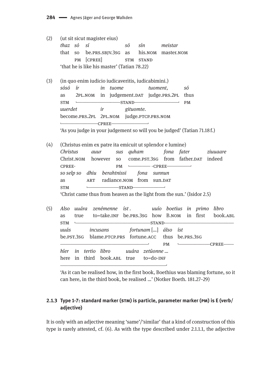$(2)$ (ut sit sicut magister eius) thaz só sí sín só meistar that so be.PRS.SBJV.3sG as his.NOM master.NOM PM [CPREE] STM STAND 'that he is like his master' (Tatian 78.22)  $(3)$ (in quo enim iudicio iudicaveritis, iudicabimini.) sósó ír in tuome tuoment. só 2PL.NOM in judgement.DAT judge.PRS.2PL as thus **STM**  $-STAND$  $PM$ gituomte. uuerdet ir become.PRS.2PL 2PL.NOM judge.PTCP.PRS.NOM  $CPREE$ 'As you judge in your judgement so will you be judged' (Tatian 71.18 f.)  $(4)$ (Christus enim ex patre ita emicuit ut splendor e lumine) Christus sus quham fona fater auur ziuuaare come.PST.3SG from father.DAT indeed Christ.NOM however so -CPREE-CPREE-**PM** so selp so dhiu berahtnissi fona sunnun radiance.NOM from sun.DAT as **ART STM**  $\overline{a}$  $-$ STAND $-$ 'Christ came thus from heaven as the light from the sun.' (Isidor 2.5)  $(5)$ Also uuára zenémenne íst. uuío boetius in primo libro as true to=take.INF be.PRS.3SG how B.NOM in first book.ABL  $STM \t -STAND$ uuás fortunam [...] álso íst incusans be.pst.3sg blame.prcp.prs fortune.acc thus be.prs.3sG **PM**  $-CPREE$ hîer in tertio libro uuára zetûonne ... here in third book.ABL true  $to=do-INF$ 

'As it can be realised how, in the first book, Boethius was blaming fortune, so it can here, in the third book, be realised ...' (Notker Boeth. 181.27-29)

# 2.1.3 Type 1-7: standard marker (STM) is particle, parameter marker (PM) is E (verb/ adjective)

It is only with an adjective meaning 'same'/'similar' that a kind of construction of this type is rarely attested, cf. (6). As with the type described under 2.1.1.1, the adjective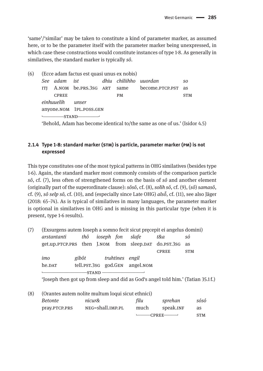'same'/'similar' may be taken to constitute a kind of parameter marker, as assumed here, or to be the parameter itself with the parameter marker being unexpressed, in which case these constructions would constitute instances of type 1-8. As generally in similatives, the standard marker is typically sô.

| (6) | (Ecce adam factus est quasi unus ex nobis) |              |                                         |  |           |                                              |                             |  |  |  |
|-----|--------------------------------------------|--------------|-----------------------------------------|--|-----------|----------------------------------------------|-----------------------------|--|--|--|
|     |                                            |              | See adam ist     dhiu chiliihho uuordan |  |           |                                              | S0                          |  |  |  |
|     | ITI                                        |              |                                         |  |           | A.NOM be.PRS.3SG ART same become.PTCP.PST as |                             |  |  |  |
|     |                                            | <b>CPREE</b> |                                         |  | <b>PM</b> |                                              | <b>STM</b>                  |  |  |  |
|     |                                            | einhuuelih   | unser                                   |  |           |                                              |                             |  |  |  |
|     |                                            |              | anyone.NOM 1PL.POSS.GEN                 |  |           |                                              |                             |  |  |  |
|     |                                            |              |                                         |  |           |                                              |                             |  |  |  |
|     |                                            |              | $(75.1 \t11.41 \t11.1 \t11.1 \t11.11$   |  |           | $\mathbf{r}$                                 | $\sqrt{\tau}$ $\sqrt{\tau}$ |  |  |  |

'Behold, Adam has become identical to/the same as one of us.' (Isidor 4.5)

# 2.1.4 Type 1-8: standard marker (STM) is particle, parameter marker (PM) is not expressed

This type constitutes one of the most typical patterns in OHG similatives (besides type) 1-6). Again, the standard marker most commonly consists of the comparison particle sô, cf. (7), less often of strengthened forms on the basis of sô and another element (originally part of the superordinate clause):  $s\hat{o}s\hat{o}$ , cf. (8), solih  $s\hat{o}$ , cf. (9), (s $\hat{o}$ ) samas $\hat{o}$ , cf. (9), sô selp sô, cf. (10), and (especially since Late OHG)  $als\check{\sigma}$ , cf. (11), see also Jäger (2018: 65–74). As is typical of similatives in many languages, the parameter marker is optional in similatives in OHG and is missing in this particular type (when it is present, type 1-6 results).

| (Exsurgens autem Ioseph a somno fecit sicut precepit ei angelus domini)<br>(7) |                                                          |       |                 |  |                      |                                |              |            |
|--------------------------------------------------------------------------------|----------------------------------------------------------|-------|-----------------|--|----------------------|--------------------------------|--------------|------------|
|                                                                                | arstantanti                                              |       |                 |  | thô ioseph fon slafe |                                | t&a          | SÓ         |
|                                                                                | get.up. PTCP.PRS then J.NOM from sleep.DAT do.PST.3SG as |       |                 |  |                      |                                |              |            |
|                                                                                |                                                          |       |                 |  |                      |                                | <b>CPREE</b> | <b>STM</b> |
|                                                                                | imo                                                      | gibôt | truhtines engil |  |                      |                                |              |            |
|                                                                                | he. <sub>DAT</sub>                                       |       |                 |  |                      | tell.pst.3sG god.GEN angel.NOM |              |            |
|                                                                                |                                                          |       |                 |  |                      |                                |              |            |
|                                                                                |                                                          |       |                 |  |                      |                                |              |            |

'Joseph then got up from sleep and did as God's angel told him.' (Tatian 35.1f.)

| (8) | (Orantes autem nolite multum loqui sicut ethnici) |                  |      |                                                                                                                                                                                                                                                                                                                                                                                                                                                                                                  |            |  |  |  |  |  |  |
|-----|---------------------------------------------------|------------------|------|--------------------------------------------------------------------------------------------------------------------------------------------------------------------------------------------------------------------------------------------------------------------------------------------------------------------------------------------------------------------------------------------------------------------------------------------------------------------------------------------------|------------|--|--|--|--|--|--|
|     | <i>Betonte</i>                                    | nicur&           | filu | sprehan                                                                                                                                                                                                                                                                                                                                                                                                                                                                                          | sósó       |  |  |  |  |  |  |
|     | pray.PTCP.PRS                                     | NEG=shall.IMP.PL | much | speak.INF                                                                                                                                                                                                                                                                                                                                                                                                                                                                                        | as         |  |  |  |  |  |  |
|     |                                                   |                  |      | $\leftarrow$ $\leftarrow$ $\leftarrow$ $\leftarrow$ $\leftarrow$ $\leftarrow$ $\leftarrow$ $\leftarrow$ $\leftarrow$ $\leftarrow$ $\leftarrow$ $\leftarrow$ $\leftarrow$ $\leftarrow$ $\leftarrow$ $\leftarrow$ $\leftarrow$ $\leftarrow$ $\leftarrow$ $\leftarrow$ $\leftarrow$ $\leftarrow$ $\leftarrow$ $\leftarrow$ $\leftarrow$ $\leftarrow$ $\leftarrow$ $\leftarrow$ $\leftarrow$ $\leftarrow$ $\leftarrow$ $\leftarrow$ $\leftarrow$ $\leftarrow$ $\leftarrow$ $\leftarrow$ $\leftarrow$ | <b>STM</b> |  |  |  |  |  |  |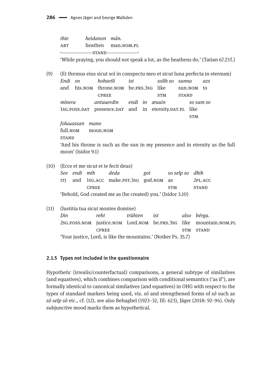| thie | heidanon mán. |                    |
|------|---------------|--------------------|
| ART  |               | heathen man.NOM.PL |
|      |               |                    |

'While praying, you should not speak a lot, as the heathens do.' (Tatian 67.23 f.)

 $(9)$ (Et thronus eius sicut sol in conspectu meo et sicut luna perfecta in eternum) Endi sn hohsetli  $i<sub>st</sub>$ solih so sunna azs and his.NOM throne.NOM be.PRS.3SG like sun.NOM to **CPREE STM STAND** minera antuverdin endi in æuvin so sam so 1sG.POSS.DAT presence.DAT and in eternity.DAT.PL like **STM** foluuassan mano full.NOM moon.NOM **STAND** 'And his throne is such as the sun in my presence and in eternity as the full moon' (Isidor 9.1)

(10) (Ecce et me sicut et te fecit deus)

| See endi mih                                                |              | deda                                    | got | so selp so dhih |              |  |  |  |  |
|-------------------------------------------------------------|--------------|-----------------------------------------|-----|-----------------|--------------|--|--|--|--|
|                                                             |              | ITJ and 1sG.ACC make.PST.3SG god.NOM as |     |                 | 2PL.ACC      |  |  |  |  |
|                                                             | <b>CPREE</b> |                                         |     | <b>STM</b>      | <b>STAND</b> |  |  |  |  |
| 'Behold, God created me as (he created) you.' (Isidor 3.10) |              |                                         |     |                 |              |  |  |  |  |

 $(11)$ (Iustitia tua sicut montes domine) Din reht trûhten also bérga. ist 2SG.POSS.NOM justice.NOM Lord.NOM be.PRS.3SG like mountain.NOM.PL **CPREE STM STAND** 'Your justice, Lord, is like the mountains.' (Notker Ps. 35.7)

#### 2.1.5 Types not included in the questionnaire

Hypothetic (irrealis/counterfactual) comparisons, a general subtype of similatives (and equatives), which combines comparison with conditional semantics ('as if'), are formally identical to canonical similatives (and equatives) in OHG with respect to the types of standard markers being used, viz.  $s\hat{o}$  and strengthened forms of  $s\hat{o}$  such as sô selp sô etc., cf. (12), see also Behaghel (1923-32, III: 623), Jäger (2018: 92-94). Only subjunctive mood marks them as hypothetical.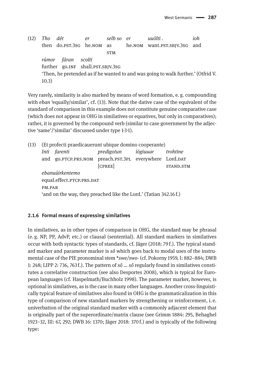(12) *Tho dét er selb so er uuólti . ioh* then do.pst.3sg he.nom as he.nom want.pst.sbjv.3sg and **STM** *rúmor fáran scolti* further go.INF shall.psT.SBJV.3sG 'Then, he pretended as if he wanted to and was going to walk further.' (Otfrid V. 10.3)

Very rarely, similarity is also marked by means of word formation, e. g. compounding with *eban* 'equally/similar', cf. (13). Note that the dative case of the equivalent of the standard of comparison in this example does not constitute genuine comparative case (which does not appear in OHG in similatives or equatives, but only in comparatives); rather, it is governed by the compound verb (similar to case government by the adjective 'same'/'similar' discussed under type 1-3-1).

(13) (Et profecti praedicauerunt ubique domino cooperante) *Inti farenti predigotun íógiuuar trohtine* and go.PTCP.PRS.NOM preach.PST.3PL everywhere Lord.DAT [CPREE] STAND.STM *ebanuúirkentemo* equal.effect.PTCP.PRS.DAT pm.par 'and on the way, they preached like the Lord.' (Tatian 342.16 f.)

## **2.1.6 Formal means of expressing similatives**

In similatives, as in other types of comparison in OHG, the standard may be phrasal (e.  g. NP, PP, AdvP, etc.) or clausal (sentential). All standard markers in similatives occur with both syntactic types of standards, cf. Jäger (2018: 79 f.). The typical standard marker and parameter marker is *sô* which goes back to modal uses of the instrumental case of the PIE pronominal stem \**swe/swo*- (cf. Pokorny 1959, I: 882–884; DWB 1: 248; LIPP 2: 736, 763 f.). The pattern of *sô* … *sô* regularly found in similatives constitutes a correlative construction (see also Desportes 2008), which is typical for European languages (cf. Haspelmath/Buchholz 1998). The parameter marker, however, is optional in similatives, as is the case in many other languages. Another cross-linguistically typical feature of similatives also found in OHG is the grammaticalization in this type of comparison of new standard markers by strengthening or reinforcement, i. e. univerbation of the original standard marker with a commonly adjacent element that is originally part of the superordinate/matrix clause (see Grimm 1884: 295, Behaghel 1923–32, III: 67, 292; DWB 16: 1370; Jäger 2018: 370 f.) and is typically of the following type: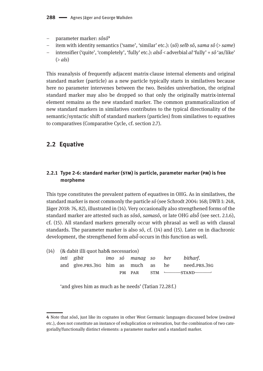- parameter marker: *sôsô*⁴
- item with identity semantics ('same', 'similar' etc.): (*sô*) *selb sô*, *sama sô* (> *same*)
- intensifier ('quite', 'completely', 'fully' etc.): *alsō̆* < adverbial *al* 'fully' + *sô* 'as/like' (> *als*)

This reanalysis of frequently adjacent matrix-clause internal elements and original standard marker (particle) as a new particle typically starts in similatives because here no parameter intervenes between the two. Besides univerbation, the original standard marker may also be dropped so that only the originally matrix-internal element remains as the new standard marker. The common grammaticalization of new standard markers in similatives contributes to the typical directionality of the semantic/syntactic shift of standard markers (particles) from similatives to equatives to comparatives (Comparative Cycle, cf. section 2.7).

# **2.2 Equative**

# **2.2.1 Type 2-6: standard marker (stm) is particle, parameter marker (pm) is free morpheme**

This type constitutes the prevalent pattern of equatives in OHG. As in similatives, the standard marker is most commonly the particle *sô* (see Schrodt 2004: 168; DWB 1: 248, Jäger 2018: 76, 82), illustrated in (14). Very occasionally also strengthened forms of the standard marker are attested such as *sôsô*, *samasô*, or late OHG *alsō̆* (see sect. 2.1.6), cf. (15). All standard markers generally occur with phrasal as well as with clausal standards. The parameter marker is also *sô*, cf. (14) and (15). Later on in diachronic development, the strengthened form *alsō̆* occurs in this function as well.

| $(14)$ $(8$ dabit illi quot hab& necessarios) |                                    |  |  |        |  |    |                  |  |  |
|-----------------------------------------------|------------------------------------|--|--|--------|--|----|------------------|--|--|
|                                               | inti gibit     imo só manag so her |  |  |        |  |    | bitharf.         |  |  |
|                                               | and give.prs.3sg him as much as    |  |  |        |  | he | need.PRS.3SG     |  |  |
|                                               |                                    |  |  | PM PAR |  |    | $STM \sim STAND$ |  |  |

'and gives him as much as he needs' (Tatian 72.28 f.)

**<sup>4</sup>** Note that *sôsô*, just like its cognates in other West Germanic languages discussed below (*swāswā* etc.), does not constitute an instance of reduplication or reiteration, but the combination of two categorially/functionally distinct elements: a parameter marker and a standard marker.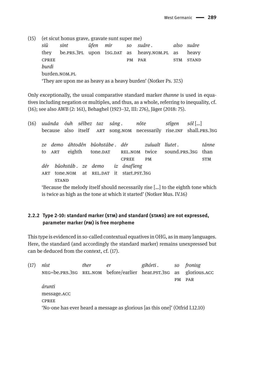(15) (et sicut honus grave, gravate sunt super me) ûfen siû sint also suâre mir SO suâre. they be.PRS.3PL upon 1SG.DAT as heavy.nom.pl as heavy **CPREE** PM PAR STM STAND hurdi burden.NOM.PL 'They are upon me as heavy as a heavy burden' (Notker Ps. 37.5)

Only exceptionally, the usual comparative standard marker *thanne* is used in equatives including negation or multiples, and thus, as a whole, referring to inequality, cf. (16); see also AWB (2: 161), Behaghel (1923–32, III: 276), Jäger (2018: 75).

(16) uuánda óuh sélbez taz sáng. nôte stîgen  $\sin$  ...] because also itself ART SONG.NOM necessarily rise.INF shall.PRS.3SG ze demo áhtodên bûohstábe. dér zuiualt liutet. tánne eighth REL.NOM twice sound.PRS.3SG than to ART tone.par CPREE **PM STM** dér bûohstáb. ze demo iz ánafîeng ART tone.NOM at REL.DAT it start.PST.3SG **STAND** 

'Because the melody itself should necessarily rise [...] to the eighth tone which is twice as high as the tone at which it started' (Notker Mus. IV.16)

#### 2.2.2 Type 2-10: standard marker (STM) and standard (STAND) are not expressed, parameter marker (PM) is free morpheme

This type is evidenced in so-called contextual equatives in OHG, as in many languages. Here, the standard (and accordingly the standard marker) remains unexpressed but can be deduced from the context, cf. (17).

| (17) | níst                                                                         | ther | er | gihórti . |           | so fronisg |  |  |  |  |  |
|------|------------------------------------------------------------------------------|------|----|-----------|-----------|------------|--|--|--|--|--|
|      | NEG=be.PRS.3SG REL.NOM before/earlier hear.PST.3SG as glorious.ACC           |      |    |           |           |            |  |  |  |  |  |
|      |                                                                              |      |    |           | <b>PM</b> | PAR        |  |  |  |  |  |
|      | árunti                                                                       |      |    |           |           |            |  |  |  |  |  |
|      | message.ACC                                                                  |      |    |           |           |            |  |  |  |  |  |
|      | <b>CPREE</b>                                                                 |      |    |           |           |            |  |  |  |  |  |
|      | 'No-one has ever heard a message as glorious [as this one]' (Otfrid I.12.10) |      |    |           |           |            |  |  |  |  |  |
|      |                                                                              |      |    |           |           |            |  |  |  |  |  |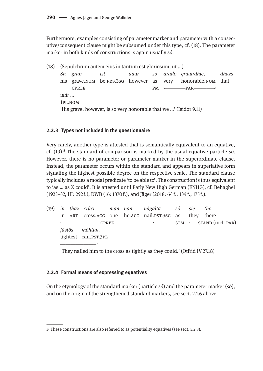Furthermore, examples consisting of parameter marker and parameter with a consecutive/consequent clause might be subsumed under this type, cf. (18). The parameter marker in both kinds of constructions is again usually sô.

 $(18)$ (Sepulchrum autem eius in tantum est gloriosum, ut ...) Sn grab ist SO. drado eruuirdhic, dhazs auur his grave. NOM be. PRS. 3SG however as honorable.NOM that very **CPREE**  $PM$  –  $-PAR$   $u$ uir $\ldots$ 1PL.NOM 'His grave, however, is so very honorable that we ...' (Isidor 9.11)

#### 2.2.3 Types not included in the questionnaire

Very rarely, another type is attested that is semantically equivalent to an equative, cf.  $(19)$ .<sup>5</sup> The standard of comparison is marked by the usual equative particle sô. However, there is no parameter or parameter marker in the superordinate clause. Instead, the parameter occurs within the standard and appears in superlative form signaling the highest possible degree on the respective scale. The standard clause typically includes a modal predicate 'to be able to'. The construction is thus equivalent to 'as ... as X could'. It is attested until Early New High German (ENHG), cf. Behaghel (1923–32, III: 292f.), DWB (16: 1370f.), and Jäger (2018: 64f., 134f., 175f.).

 $(19)$  in thaz crûci man nan nágalta sô sie tho they there in ART cross.ACC one he.acc nail.pst.3sg as  $-CPREE STM \longleftarrow STAND$  (incl. PAR) fástôs móhtun. tightest can.PST.3PL

'They nailed him to the cross as tightly as they could.' (Otfrid IV.27.18)

#### 2.2.4 Formal means of expressing equatives

On the etymology of the standard marker (particle  $s\hat{o}$ ) and the parameter marker ( $s\hat{o}$ ), and on the origin of the strengthened standard markers, see sect. 2.1.6 above.

<sup>5</sup> These constructions are also referred to as potentiality equatives (see sect. 5.2.3).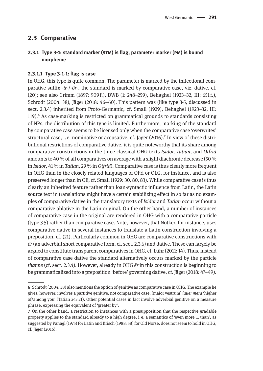# **2.3 Comparative**

# **2.3.1 Type 3-1: standard marker (stm) is flag, parameter marker (pm) is bound morpheme**

#### **2.3.1.1 Type 3-1-1: flag is case**

In OHG, this type is quite common. The parameter is marked by the inflectional comparative suffix -*ir*-/-*ôr*-, the standard is marked by comparative case, viz. dative, cf. (20); see also Grimm (1897: 909 f.), DWB (1: 248–259), Behaghel (1923–32, III: 651 f.), Schrodt (2004: 38), Jäger (2018: 46–60). This pattern was (like type 3-5, discussed in sect. 2.3.4) inherited from Proto-Germanic, cf. Small (1929), Behaghel (1923–32, III: 119).⁶ As case-marking is restricted on grammatical grounds to standards consisting of NPs, the distribution of this type is limited. Furthermore, marking of the standard by comparative case seems to be licensed only when the comparative case 'overwrites' structural case, i.e. nominative or accusative, cf. Jäger (2016).<sup>7</sup> In view of these distributional restrictions of comparative dative, it is quite noteworthy that its share among comparative constructions in the three classical OHG texts *Isidor, Tatian*, and *Otfrid* amounts to 40 % of all comparatives on average with a slight diachronic decrease (50 % in *Isidor*, 41 % in *Tatian*, 29 % in *Otfrid*). Comparative case is thus clearly more frequent in OHG than in the closely related languages of OFri or OLG, for instance, and is also preserved longer than in OE, cf. Small (1929: 30, 80, 83). While comparative case is thus clearly an inherited feature rather than loan-syntactic influence from Latin, the Latin source text in translations might have a certain stabilizing effect in so far as no examples of comparative dative in the translatory texts of *Isidor* and *Tatian* occur without a comparative ablative in the Latin original. On the other hand, a number of instances of comparative case in the original are rendered in OHG with a comparative particle (type 3-5) rather than comparative case. Note, however, that Notker, for instance, uses comparative dative in several instances to translate a Latin construction involving a preposition, cf. (21). Particularly common in OHG are comparative constructions with *êr* (an adverbial short comparative form, cf. sect. 2.3.6) and dative. These can largely be argued to constitute transparent comparatives in OHG, cf. Lühr (2011: 14). Thus, instead of comparative case dative the standard alternatively occurs marked by the particle *thanne* (cf. sect. 2.3.4). However, already in OHG *êr* in this construction is beginning to be grammaticalized into a preposition 'before' governing dative, cf. Jäger (2018: 47–49).

**<sup>6</sup>** Schrodt (2004: 38) also mentions the option of genitive as comparative case in OHG. The example he gives, however, involves a partitive genitive, not comparative case: (maior vestrum) *îuuer mera* 'higher of/among you' (Tatian 243.21). Other potential cases in fact involve adverbial genitive on a measure phrase, expressing the equivalent of 'greater by'.

**<sup>7</sup>** On the other hand, a restriction to instances with a presupposition that the respective gradable property applies to the standard already to a high degree, i. e. a semantics of 'even more … than', as suggested by Panagl (1975) for Latin and Krisch (1988: 58) for Old Norse, does not seem to hold in OHG, cf. Jäger (2016).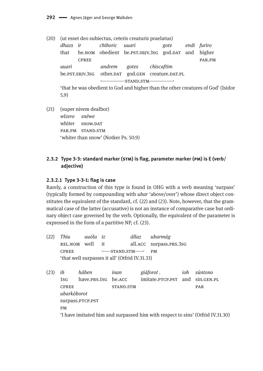(20) (ut esset deo subiectus, ceteris creaturis praelatus)

|       |              | dhazs ir chihoric uuari |                                                         |  | gote |  | endi furiro |  |  |  |
|-------|--------------|-------------------------|---------------------------------------------------------|--|------|--|-------------|--|--|--|
|       |              |                         | that he.NOM obedient be.PST.SBJV.3SG god.DAT and higher |  |      |  |             |  |  |  |
|       | <b>CPREE</b> |                         |                                                         |  |      |  | PAR.PM      |  |  |  |
| uuari |              |                         | andrem gotes chiscaftim                                 |  |      |  |             |  |  |  |
|       |              |                         | be.PST.SBJV.3SG other.DAT god.GEN creature.DAT.PL       |  |      |  |             |  |  |  |
|       |              |                         |                                                         |  |      |  |             |  |  |  |
|       |              |                         |                                                         |  |      |  |             |  |  |  |

'that he was obedient to God and higher than the other creatures of God' (Isidor  $5.9)$ 

(21) (super nivem dealbor) wîzero snêwe whiter snow.DAT PAR.PM STAND.STM 'whiter than snow' (Notker Ps. 50.9)

# 2.3.2 Type 3-3: standard marker (STM) is flag, parameter marker (PM) is E (verb/ adjective)

#### 2.3.2.1 Type 3-3-1: flag is case

Rarely, a construction of this type is found in OHG with a verb meaning 'surpass' (typically formed by compounding with *ubar* 'above/over') whose direct object constitutes the equivalent of the standard, cf. (22) and (23). Note, however, that the grammatical case of the latter (accusative) is not an instance of comparative case but ordinary object case governed by the verb. Optionally, the equivalent of the parameter is expressed in the form of a partitive NP, cf. (23).

| (22) | Thiu                                           | uuóla               | iz |                                             | állaz | ubarmág                         |     |            |  |  |
|------|------------------------------------------------|---------------------|----|---------------------------------------------|-------|---------------------------------|-----|------------|--|--|
|      | REL.NOM                                        | well                | it |                                             |       | all.ACC surpass.PRS.3SG         |     |            |  |  |
|      | <b>CPREE</b>                                   |                     |    | $\longleftarrow$ STAND.STM $\longleftarrow$ |       | <b>PM</b>                       |     |            |  |  |
|      | 'that well surpasses it all' (Otfrid IV.31.33) |                     |    |                                             |       |                                 |     |            |  |  |
|      |                                                |                     |    |                                             |       |                                 |     |            |  |  |
| (23) | ih                                             | háben               |    | inan                                        |       | giáforot.                       | ioh | súntono    |  |  |
|      | 1S <sub>G</sub>                                | have.prs.1sg he.ACC |    |                                             |       | imitate.PTCP.PST and sin.GEN.PL |     |            |  |  |
|      | <b>CPREE</b>                                   |                     |    | STAND.STM                                   |       |                                 |     | <b>PAR</b> |  |  |
|      | ubarkóborot                                    |                     |    |                                             |       |                                 |     |            |  |  |
|      | surpass.PTCP.PST                               |                     |    |                                             |       |                                 |     |            |  |  |

 $\mathbf{PM}$ 

'I have imitated him and surpassed him with respect to sins' (Otfrid IV.31.30)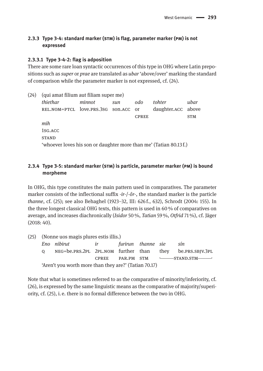# **2.3.3 Type 3-4: standard marker (stm) is flag, parameter marker (pm) is not expressed**

#### **2.3.3.1 Type 3-4-2: flag is adposition**

There are some rare loan syntactic occurrences of this type in OHG where Latin prepositions such as *super* or *prae* are translated as *ubar* 'above/over' marking the standard of comparison while the parameter marker is not expressed, cf. (24).

| (24) | (qui amat filium aut filiam super me)                             |        |     |              |                    |            |  |  |  |  |  |
|------|-------------------------------------------------------------------|--------|-----|--------------|--------------------|------------|--|--|--|--|--|
|      | thiethar                                                          | minnot | sun | odo          | tohter             | ubar       |  |  |  |  |  |
|      | REL.NOM=PTCL love.PRS.3SG son.ACC or                              |        |     |              | daughter.ACC above |            |  |  |  |  |  |
|      |                                                                   |        |     | <b>CPREE</b> |                    | <b>STM</b> |  |  |  |  |  |
|      | mih                                                               |        |     |              |                    |            |  |  |  |  |  |
|      | 1SG.ACC                                                           |        |     |              |                    |            |  |  |  |  |  |
|      | <b>STAND</b>                                                      |        |     |              |                    |            |  |  |  |  |  |
|      | 'whoever loves his son or daughter more than me' (Tatian 80.13f.) |        |     |              |                    |            |  |  |  |  |  |

# **2.3.4 Type 3-5: standard marker (stm) is particle, parameter marker (pm) is bound morpheme**

In OHG, this type constitutes the main pattern used in comparatives. The parameter marker consists of the inflectional suffix -*ir*-/- $\partial r$ -, the standard marker is the particle *thanne*, cf. (25); see also Behaghel (1923–32, III: 626 f., 632), Schrodt (2004: 155). In the three longest classical OHG texts, this pattern is used in 60 % of comparatives on average, and increases diachronically (*Isidor* 50 %, *Tatian* 59 %, *Otfrid* 71 %), cf. Jäger (2018: 40).

|                                                       | (25) (Nonne uos magis plures estis illis.) |  |  |  |  |                                                          |  |  |  |
|-------------------------------------------------------|--------------------------------------------|--|--|--|--|----------------------------------------------------------|--|--|--|
|                                                       | Eno nibirut ir bir furirun thanne sie      |  |  |  |  | sín                                                      |  |  |  |
| $\Omega$                                              |                                            |  |  |  |  | NEG=be.PRS.2PL 2PL.NOM further than they be.PRS.SBJV.3PL |  |  |  |
| <b>CPREE</b>                                          |                                            |  |  |  |  |                                                          |  |  |  |
| 'Aren't you worth more than they are?' (Tatian 70.17) |                                            |  |  |  |  |                                                          |  |  |  |

Note that what is sometimes referred to as the comparative of minority/inferiority, cf. (26), is expressed by the same linguistic means as the comparative of majority/superiority, cf. (25), i. e. there is no formal difference between the two in OHG.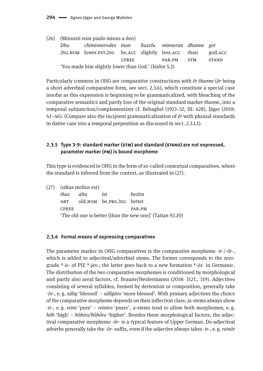|                                                      | (26) (Minuisti eum paulo minus a deo)                    |  |  |  |         |  |  |  |
|------------------------------------------------------|----------------------------------------------------------|--|--|--|---------|--|--|--|
| Dhu                                                  | chiminnerodes inan liuzelu minnerun dhanne got           |  |  |  |         |  |  |  |
|                                                      | 2sg. NOM lower. PST. 2sg he. ACC slightly less. ACC than |  |  |  | god.ACC |  |  |  |
| PAR.PM<br>CPREE<br><b>STM</b>                        |                                                          |  |  |  |         |  |  |  |
| 'You made him slightly lower than God.' (Isidor 5.3) |                                                          |  |  |  |         |  |  |  |

Particularly common in OHG are comparative constructions with *êr thanne* (*êr* being a short adverbial comparative form, see sect. 2.3.6), which constitute a special case insofar as this expression is beginning to be grammaticalized, with bleaching of the comparative semantics and partly loss of the original standard marker *thanne*, into a temporal subjunction/complementizer cf. Behaghel (1923–32, III: 628), Jäger (2018: 43–46). (Compare also the incipient grammaticalization of *êr* with phrasal standards in dative case into a temporal preposition as discussed in sect. 2.3.1.1).

# **2.3.5 Type 3-9: standard marker (stm) and standard (stand) are not expressed, parameter marker (pm) is bound morpheme**

This type is evidenced in OHG in the form of so-called contextual comparatives, where the standard is inferred from the context, as illustrated in (27).

|              | (27) (u&us melius est) |                           |                                                           |
|--------------|------------------------|---------------------------|-----------------------------------------------------------|
| thaz alta    |                        | ist                       | bezira                                                    |
| ART          |                        | old.NOM be.PRS.3SG better |                                                           |
| <b>CPREE</b> |                        |                           | PAR.PM                                                    |
|              |                        |                           | 'The old one is better [than the new one]' (Tatian 92.20) |

#### **2.3.6 Formal means of expressing comparatives**

The parameter marker in OHG comparatives is the comparative morpheme -*ir*-/-*ôr*-, which is added to adjectival/adverbial stems. The former corresponds to the zerograde \*-*is*- of PIE \**-ies̯* -; the latter goes back to a new formation \*-*ōz*- in Germanic. The distribution of the two comparative morphemes is conditioned by morphological and partly also areal factors, cf. Braune/Heidermanns (2018: 312 f., 319). Adjectives consisting of several syllables, formed by derivation or composition, generally take -*ôr*-, e. g. *sâlig* 'blessed' – *sâlîgôro* 'more blessed'. With primary adjectives the choice of the comparative morpheme depends on their inflection class: *ja*-stems always show -*ir*-, e.  g. *reini* 'pure' – *reiniro* 'purer', *a*-stems tend to allow both morphemes, e.  g. *hôh* 'high' – *hôhiro/hôhôro* 'higher'. Besides these morphological factors, the adjectival comparative morpheme -*ôr*- is a typical feature of Upper German. De-adjectival adverbs generally take the -*ôr*- suffix, even if the adjective always takes -*ir*-, e. g. *reinôr*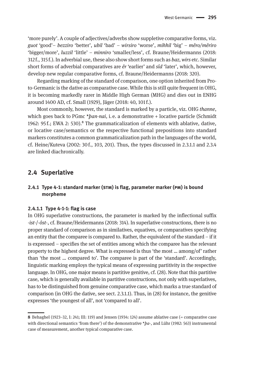'more purely'. A couple of adjectives/adverbs show suppletive comparative forms, viz. *guot* 'good'– *bezziro* 'better', *ubil* 'bad' – *wirsiro* 'worse', *mihhil* 'big' – *mêro/mêriro* 'bigger/more', *luzzil* 'little' – *minniro* 'smaller/less', cf. Braune/Heidermanns (2018: 312 f., 315 f.). In adverbial use, these also show short forms such as *baz, wirs* etc. Similar short forms of adverbial comparatives are *êr* 'earlier' and *sîd* 'later', which, however, develop new regular comparative forms, cf. Braune/Heidermanns (2018: 320).

Regarding marking of the standard of comparison, one option inherited from Proto-Germanic is the dative as comparative case. While this is still quite frequent in OHG, it is becoming markedly rarer in Middle High German (MHG) and dies out in ENHG around 1400 AD, cf. Small (1929), Jäger (2018: 40, 101 f.).

Most commonly, however, the standard is marked by a particle, viz. OHG *thanne*, which goes back to PGmc \**þan-nai*, i. e. a demonstrative + locative particle (Schmidt 1962:  $95f$ ; EWA 2: 530). <sup>8</sup> The grammaticalization of elements with ablative, dative, or locative case/semantics or the respective functional prepositions into standard markers constitutes a common grammaticalization path in the languages of the world, cf. Heine/Kuteva (2002: 30 f., 103, 201). Thus, the types discussed in 2.3.1.1 and 2.3.4 are linked diachronically.

# **2.4 Superlative**

#### **2.4.1 Type 4-1: standard marker (stm) is flag, parameter marker (pm) is bound morpheme**

#### **2.4.1.1 Type 4-1-1: flag is case**

In OHG superlative constructions, the parameter is marked by the inflectional suffix -*ist*-/-*ôst*-, cf. Braune/Heidermanns (2018: 314). In superlative constructions, there is no proper standard of comparison as in similatives, equatives, or comparatives specifying an entity that the comparee is compared to. Rather, the equivalent of the standard – if it is expressed – specifies the set of entities among which the comparee has the relevant property to the highest degree. What is expressed is thus 'the most … among/of' rather than 'the most … compared to'. The comparee is part of the 'standard'. Accordingly, linguistic marking employs the typical means of expressing partitivity in the respective language. In OHG, one major means is partitive genitive, cf. (28). Note that this partitive case, which is generally available in partitive constructions, not only with superlatives, has to be distinguished from genuine comparative case, which marks a true standard of comparison (in OHG the dative, see sect. 2.3.1.1). Thus, in (28) for instance, the genitive expresses 'the youngest of all', not 'compared to all'.

**<sup>8</sup>** Behaghel (1923–32, I: 241; III: 119) and Jensen (1934: 124) assume ablative case (= comparative case with directional semantics 'from there') of the demonstrative \**þa*-, and Lühr (1982: 563) instrumental case of measurement, another typical comparative case.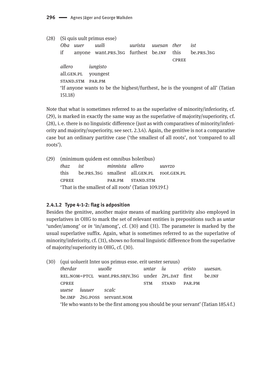(28) (Si quis uult primus esse) Oba uuer uuili uurista uuesan ther ist if anyone want.PRS.3sG furthest be.INF this  $be.PRS.3SG$ **CPREE** allero iungisto all.GEN.PL voungest STAND.STM PAR.PM 'If anyone wants to be the highest/furthest, he is the youngest of all' (Tatian  $151.18$ 

Note that what is sometimes referred to as the superlative of minority/inferiority, cf. (29), is marked in exactly the same way as the superlative of majority/superiority, cf. (28), i. e. there is no linguistic difference (just as with comparatives of minority/inferiority and majority/superiority, see sect. 2.3.4). Again, the genitive is not a comparative case but an ordinary partitive case ('the smallest of all roots', not 'compared to all roots').

(29) (minimum quidem est omnibus holeribus) thaz  $i<sub>st</sub>$ minnista allero uuvrzo be.prs.3sG smallest all.GEN.PL this root.GEN.PL PAR.PM **CPREE** STAND.STM 'That is the smallest of all roots' (Tatian 109.19f.)

#### 2.4.1.2 Type 4-1-2: flag is adposition

Besides the genitive, another major means of marking partitivity also employed in superlatives in OHG to mark the set of relevant entities is prepositions such as *untar* 'under/among' or in 'in/among', cf. (30) and (31). The parameter is marked by the usual superlative suffix. Again, what is sometimes referred to as the superlative of minority/inferiority, cf. (31), shows no formal linguistic difference from the superlative of majority/superiority in OHG, cf. (30).

|                                                                                   |        |         | (30) (qui uoluerit Inter uos primus esse, erit uester seruus) |              |        |        |         |  |  |  |
|-----------------------------------------------------------------------------------|--------|---------|---------------------------------------------------------------|--------------|--------|--------|---------|--|--|--|
| therdar                                                                           |        | uuolle  |                                                               | untar íu     |        | eristo | uuesan. |  |  |  |
|                                                                                   |        |         | REL.NOM=PTCL want.PRS.SBJV.3SG under 2PL.DAT first            |              |        |        | be.INF  |  |  |  |
| <b>CPREE</b>                                                                      |        |         |                                                               | <b>STAND</b> | PAR.PM |        |         |  |  |  |
| uuese                                                                             | íuuuer | - scalc |                                                               |              |        |        |         |  |  |  |
|                                                                                   |        |         | be.IMP 2SG.POSS servant.NOM                                   |              |        |        |         |  |  |  |
| 'He who wants to be the first among you should be your servant' (Tatian 185.4 f.) |        |         |                                                               |              |        |        |         |  |  |  |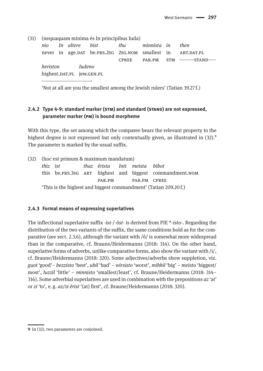(31) (nequaquam minima és In principibus Iuda)

*nio In altere bist thu minnista in then* never in age.par be.prs.2sg 2sg.nom smallest in art.pat.pl. CPREE PAR.PM STM --------STAND*heriston Iudeno* highest.DAT.PL jew.GEN.PL  $\overline{\phantom{a}}$  , and the contract of  $\overline{\phantom{a}}$ 

'Not at all are you the smallest among the Jewish rulers' (Tatian 39.27 f.)

# **2.4.2 Type 4-9: standard marker (stm) and standard (stand) are not expressed, parameter marker (pm) is bound morpheme**

With this type, the set among which the comparee bears the relevant property to the highest degree is not expressed but only contextually given, as illustrated in  $(32)$ . The parameter is marked by the usual suffix.

|                                                                  | (32) (hoc est primum & maximum mandatum) |                                                         |                                 |  |  |  |  |  |  |  |
|------------------------------------------------------------------|------------------------------------------|---------------------------------------------------------|---------------------------------|--|--|--|--|--|--|--|
|                                                                  | thiz ist                                 |                                                         | thaz êrista - Inti meista bibot |  |  |  |  |  |  |  |
|                                                                  |                                          | this be.prs.3sg ART highest and biggest commandment.nom |                                 |  |  |  |  |  |  |  |
| PAR.PM PAR.PM CPREE                                              |                                          |                                                         |                                 |  |  |  |  |  |  |  |
| 'This is the highest and biggest commandment' (Tatian 209.20 f.) |                                          |                                                         |                                 |  |  |  |  |  |  |  |

#### **2.4.3 Formal means of expressing superlatives**

The inflectional superlative suffix -*ist*-/-*ôst*- is derived from PIE \*-*isto*-. Regarding the distribution of the two variants of the suffix, the same conditions hold as for the comparative (see sect. 2.3.6), although the variant with  $\delta/$  is somewhat more widespread than in the comparative, cf. Braune/Heidermanns (2018: 314). On the other hand, superlative forms of adverbs, unlike comparative forms, also show the variant with  $/i/$ , cf. Braune/Heidermanns (2018: 320). Some adjectives/adverbs show suppletion, viz. *guot* 'good'– *bezzisto* 'best', *ubil* 'bad' – *wirsisto* 'worst', *mihhil* 'big' – *meisto* 'biggest/ most', *luzzil* 'little' – *minnisto* 'smallest/least', cf. Braune/Heidermanns (2018: 314– 316). Some adverbial superlatives are used in combination with the prepositions *az* 'at' or *zi* 'to', e. g. *az/zi êrist* '(at) first', cf. Braune/Heidermanns (2018: 320).

**<sup>9</sup>** In (32), two parameters are conjoined.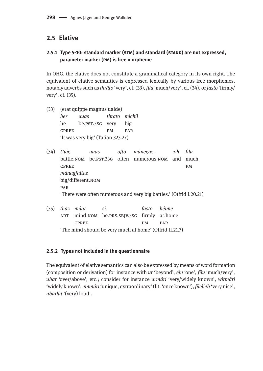# **2.5 Elative**

# **2.5.1 Type 5-10: standard marker (stm) and standard (stand) are not expressed, parameter marker (pm) is free morpheme**

In OHG, the elative does not constitute a grammatical category in its own right. The equivalent of elative semantics is expressed lexically by various free morphemes, notably adverbs such as *thrâto* 'very', cf. (33), *filu* 'much/very', cf. (34), or *fasto* 'firmly/ very', cf. (35).

- (33) (erat quippe magnus ualde) *her uuas thrato michil*  he be.pst.3sg very big cpree pm par 'It was very big' (Tatian 323.27)
- (34) *Uuíg uuas ofto mánegaz . ioh filu* battle.nom be.pst.3sg often numerous.nom and much CPREE PM *mánagfaltaz* big/different.nom **PAR** 'There were often numerous and very big battles.' (Otfrid I.20.21)
- (35) *thaz múat si fasto héime* art mind.nom be.prs.sbjv.3sg firmly at.home CPREE PM PAR 'The mind should be very much at home' (Otfrid II.21.7)

## **2.5.2 Types not included in the questionnaire**

The equivalent of elative semantics can also be expressed by means of word formation (composition or derivation) for instance with *ur* 'beyond', *ein* 'one', *filu* 'much/very', *ubar* 'over/above', etc.; consider for instance *urmâri* 'very/widely known', *wîtmâri* 'widely known', *einmâri* 'unique, extraordinary' (lit. 'once known'), *filelieb* 'very nice', *ubarlût* '(very) loud'.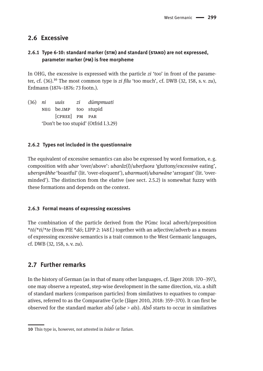# **2.6 Excessive**

# **2.6.1 Type 6-10: standard marker (stm) and standard (stand) are not expressed, parameter marker (pm) is free morpheme**

In OHG, the excessive is expressed with the particle *zi* 'too' in front of the parameter, cf.  $(36)$ .<sup>10</sup> The most common type is *zi filu* 'too much', cf. DWB  $(32, 158, s, v, zu)$ , Erdmann (1874–1876: 73 footn.).

(36) *ni uuis zi dúmpmuati* neg be.imp too stupid [cpree] pm par 'Don't be too stupid' (Otfrid I.3.29)

#### **2.6.2 Types not included in the questionnaire**

The equivalent of excessive semantics can also be expressed by word formation, e. g. composition with *ubar* 'over/above': *ubarâz*(*î*)/*uberfuora* 'gluttony/excessive eating', *ubersprâhhe* 'boastful' (lit. 'over-eloquent'), *ubarmuoti/ubarwâne* 'arrogant' (lit. 'overminded'). The distinction from the elative (see sect. 2.5.2) is somewhat fuzzy with these formations and depends on the context.

#### **2.6.3 Formal means of expressing excessives**

The combination of the particle derived from the PGmc local adverb/preposition \**tō*/\**ti*/*\*te* (from PIE \**dó*; LIPP 2: 148 f.) together with an adjective/adverb as a means of expressing excessive semantics is a trait common to the West Germanic languages, cf. DWB (32, 158, s. v. *zu*).

# **2.7 Further remarks**

In the history of German (as in that of many other languages, cf. Jäger 2018: 370–397), one may observe a repeated, step-wise development in the same direction, viz. a shift of standard markers (comparison particles) from similatives to equatives to comparatives, referred to as the Comparative Cycle (Jäger 2010, 2018: 359–370). It can first be observed for the standard marker *alsō̆* (*alse* > *als*). *Alsō̆* starts to occur in similatives

**<sup>10</sup>** This type is, however, not attested in *Isidor* or *Tatian.*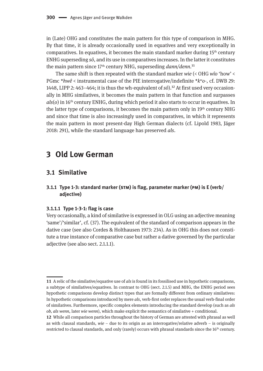in (Late) OHG and constitutes the main pattern for this type of comparison in MHG. By that time, it is already occasionally used in equatives and very exceptionally in comparatives. In equatives, it becomes the main standard marker during  $15<sup>th</sup>$  century ENHG superseding *sô*, and its use in comparatives increases. In the latter it constitutes the main pattern since 17<sup>th</sup> century NHG, superseding *dann/denn*.<sup>11</sup>

The same shift is then repeated with the standard marker *wie* (< OHG *wîo* 'how' < PGmc \**hwê* < instrumental case of the PIE interrogative/indefinite \**kwo-,* cf. DWB 29: 1448, LIPP 2:  $463-464$ ; it is thus the wh-equivalent of  $s\hat{\rho}$ <sup>12</sup> At first used very occasionally in MHG similatives, it becomes the main pattern in that function and surpasses *als*(*o*) in 16th century ENHG, during which period it also starts to occur in equatives. In the latter type of comparisons, it becomes the main pattern only in 19<sup>th</sup> century NHG and since that time is also increasingly used in comparatives, in which it represents the main pattern in most present-day High German dialects (cf. Lipold 1983, Jäger 2018: 291), while the standard language has preserved *als*.

# **3 Old Low German**

# **3.1 Similative**

#### **3.1.1 Type 1-3: standard marker (stm) is flag, parameter marker (pm) is E (verb/ adjective)**

#### **3.1.1.1 Type 1-3-1: flag is case**

Very occasionally, a kind of similative is expressed in OLG using an adjective meaning 'same'/'similar', cf. (37). The equivalent of the standard of comparison appears in the dative case (see also Cordes & Holthausen 1973: 234). As in OHG this does not constitute a true instance of comparative case but rather a dative governed by the particular adjective (see also sect. 2.1.1.1).

**<sup>11</sup>** A relic of the similative/equative use of *als* is found in its fossilised use in hypothetic comparisons, a subtype of similatives/equatives. In contrast to OHG (sect. 2.1.5) and MHG, the ENHG period sees hypothetic comparisons develop distinct types that are formally different from ordinary similatives: In hypothetic comparisons introduced by mere *als*, verb-first order replaces the usual verb-final order of similatives. Furthermore, specific complex elements introducing the standard develop (such as *als ob, als wenn*, later *wie wenn*), which make explicit the semantics of similative + conditional.

**<sup>12</sup>** While all comparison particles throughout the history of German are attested with phrasal as well as with clausal standards, *wie* – due to its origin as an interrogative/relative adverb – is originally restricted to clausal standards, and only (rarely) occurs with phrasal standards since the 16<sup>th</sup> century.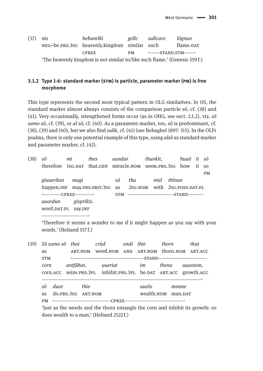| (37) | nis | hebanrîki                                                                  | gelîc | sulîcaro                                         | lôgnun    |
|------|-----|----------------------------------------------------------------------------|-------|--------------------------------------------------|-----------|
|      |     | NEG=be.PRS.3sG heavenly.kingdom similar such                               |       |                                                  | flame.DAT |
|      |     | <b>CPREE</b>                                                               |       | $PM$ $\longleftarrow$ STAND.STM $\longleftarrow$ |           |
|      |     | 'The heavenly kingdom is not similar to/like such flame.' (Genesis 559 f.) |       |                                                  |           |

# **3.1.2 Type 1-6: standard marker (stm) is particle, parameter marker (pm) is free morpheme**

This type represents the second most typical pattern in OLG similatives. In OS, the standard marker almost always consists of the comparison particle *sô*, cf. (38) and (41). Very occasionally, strengthened forms occur (as in OHG, see sect. 2.1.2), viz. *sô samo sô*, cf. (39), or *al sô,* cf. (40). As a parameter marker, too, *sô* is predominant, cf. (38), (39) and (40), but we also find *sulik*, cf. (41) (see Behaghel 1897: 315). In the OLFr psalms, there is only one potential example of this type, using *alsô* as standard marker and parameter marker, cf. (42).

| (38) | sô                                                          | mi         | thes                                                               | uundar |     | thunkit,                                       |        | huuô it sô |           |
|------|-------------------------------------------------------------|------------|--------------------------------------------------------------------|--------|-----|------------------------------------------------|--------|------------|-----------|
|      |                                                             |            | therefore 1sg. DAT that. GEN miracle. NOM seem. PRS. 3sg how it so |        |     |                                                |        |            |           |
|      |                                                             |            |                                                                    |        |     |                                                |        |            | <b>PM</b> |
|      | giuuerðan                                                   | mugi       |                                                                    | sô     | thu | mid                                            | thînun |            |           |
|      | happen.INF may.PRS.SBJV.3SG as 2SG.NOM with 2SG.POSS.DAT.PL |            |                                                                    |        |     |                                                |        |            |           |
|      |                                                             | -CPREE-    |                                                                    | STM    |     | <b>Learning the Community of the Community</b> |        | -STAND-    |           |
|      | uuordun                                                     | gisprikis. |                                                                    |        |     |                                                |        |            |           |
|      | word.DAT.PL Say.INF                                         |            |                                                                    |        |     |                                                |        |            |           |
|      |                                                             |            |                                                                    |        |     |                                                |        |            |           |

'Therefore it seems a wonder to me if it might happen as you say with your words.' (Heliand 157 f.)

| (39) |            | Sô samo sô that    |           |         | crûd    | endi thie |         | thorn              | that                                                                     |
|------|------------|--------------------|-----------|---------|---------|-----------|---------|--------------------|--------------------------------------------------------------------------|
|      | as         |                    |           | ART.NOM |         |           |         |                    | weed.NOM AND ART.NOM thorn.NOM ART.ACC                                   |
|      | <b>STM</b> |                    |           |         |         |           | -STAND- |                    |                                                                          |
|      | corn       |                    | antfâhat, |         | uueriat |           | im      | thena              | uuastom,                                                                 |
|      |            |                    |           |         |         |           |         |                    | corn. ACC seize. PRS. 3PL inhibit. PRS. 3PL he. DAT ART. ACC growth. ACC |
|      | sô         | duot               |           | thie    |         |           | uuelo   | manne              |                                                                          |
|      | as         | do.PRS.3SG ART.NOM |           |         |         |           |         | wealth.NOM man.DAT |                                                                          |
|      | <b>PM</b>  |                    |           |         |         |           |         |                    |                                                                          |

'Just as the weeds and the thorn entangle the corn and inhibit its growth: so does wealth to a man.' (Heliand 2522 f.)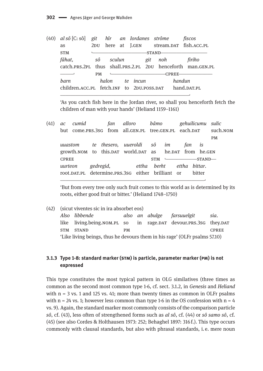| $(40)$ al sô $[C; sô]$ git hîr an Iordanes strôme           |     |           |        |  |          |  |                                                                                                                                                                                                                                                                                                                                                                                                                                                                                 |        | fiscos                               |
|-------------------------------------------------------------|-----|-----------|--------|--|----------|--|---------------------------------------------------------------------------------------------------------------------------------------------------------------------------------------------------------------------------------------------------------------------------------------------------------------------------------------------------------------------------------------------------------------------------------------------------------------------------------|--------|--------------------------------------|
| as                                                          | 2DU |           |        |  |          |  |                                                                                                                                                                                                                                                                                                                                                                                                                                                                                 |        | here at J.GEN stream.DAT fish.ACC.PL |
| <b>STM</b>                                                  |     |           |        |  |          |  | -STAND-                                                                                                                                                                                                                                                                                                                                                                                                                                                                         |        |                                      |
| fâhat,                                                      |     | sô        | sculun |  |          |  | git noh                                                                                                                                                                                                                                                                                                                                                                                                                                                                         |        | firiho                               |
| catch.PRS.2PL thus shall.PRS.2.PL 2DU henceforth man.GEN.PL |     |           |        |  |          |  |                                                                                                                                                                                                                                                                                                                                                                                                                                                                                 |        |                                      |
|                                                             |     | <b>PM</b> |        |  |          |  | $\overline{\phantom{a}}$ $\overline{\phantom{a}}$ $\overline{\phantom{a}}$ $\overline{\phantom{a}}$ $\overline{\phantom{a}}$ $\overline{\phantom{a}}$ $\overline{\phantom{a}}$ $\overline{\phantom{a}}$ $\overline{\phantom{a}}$ $\overline{\phantom{a}}$ $\overline{\phantom{a}}$ $\overline{\phantom{a}}$ $\overline{\phantom{a}}$ $\overline{\phantom{a}}$ $\overline{\phantom{a}}$ $\overline{\phantom{a}}$ $\overline{\phantom{a}}$ $\overline{\phantom{a}}$ $\overline{\$ |        |                                      |
| barn                                                        |     | halon     |        |  | te incun |  |                                                                                                                                                                                                                                                                                                                                                                                                                                                                                 | handun |                                      |
| children.acc.pl fetch.inf to 2DU.poss.dat                   |     |           |        |  |          |  |                                                                                                                                                                                                                                                                                                                                                                                                                                                                                 |        | hand.DAT.PL                          |

'As you catch fish here in the Jordan river, so shall you henceforth fetch the children of man with your hands' (Heliand 1159-1161)

 $(41)$  ac  $cumid$ fan alloro hâmo gehuilicumu sulic but come.PRS.3SG from all.GEN.PL tree.GEN.PL each.DAT such.NOM **PM** uuastom te thesero, uueroldi sô im fan is growth.NOM to this.DAT world.DAT as he.DAT from he.GEN **CPREE**  $-STAND$ **STM**  $\mathbf{L}$ gedregid, berht uurteon ettha ettha bittar. root.DAT.PL determine.PRS.3SG either brilliant or bitter

But from every tree only such fruit comes to this world as is determined by its roots, either good fruit or bitter.' (Heliand 1748-1750)

| (42) |                                                                            | (sicut viventes sic in ira absorbet eos)                        |           |  |  |                            |              |  |  |
|------|----------------------------------------------------------------------------|-----------------------------------------------------------------|-----------|--|--|----------------------------|--------------|--|--|
|      |                                                                            | Also libbende                                                   |           |  |  | also an abulge farsuuelgit | sia.         |  |  |
|      |                                                                            | like living.being.nom.pl so in rage.par devour.prs.3sg they.par |           |  |  |                            |              |  |  |
|      |                                                                            | STM STAND                                                       | <b>PM</b> |  |  |                            | <b>CPREE</b> |  |  |
|      | 'Like living beings, thus he devours them in his rage' (OLFr psalms 57.10) |                                                                 |           |  |  |                            |              |  |  |

## 3.1.3 Type 1-8: standard marker (STM) is particle, parameter marker (PM) is not expressed

This type constitutes the most typical pattern in OLG similatives (three times as common as the second most common type 1-6, cf. sect. 3.1.2, in Genesis and Heliand with  $n = 3$  vs. 1 and 125 vs. 41; more than twenty times as common in OLFr psalms with  $n = 24$  vs. 1; however less common than type 1-6 in the OS confession with  $n = 4$ vs. 9). Again, the standard marker most commonly consists of the comparison particle sô, cf. (43), less often of strengthened forms such as al sô, cf. (44) or sô samo sô, cf. (45) (see also Cordes & Holthausen 1973: 252; Behaghel 1897: 316 f.). This type occurs commonly with clausal standards, but also with phrasal standards, *i.e.* mere noun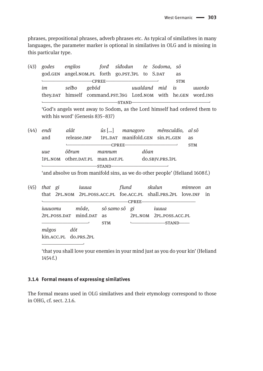phrases, prepositional phrases, adverb phrases etc. As typical of similatives in many languages, the parameter marker is optional in similatives in OLG and is missing in this particular type.

 $(43)$  godes engilos forđ sîđodun te Sodoma, sô god.GEN angel.NOM.PL forth go.PST.3PL to S.DAT as  $-CPREE$ — **STM** selbo gebôd im uualdand mid is uuordo they.DAT himself command.PST.3SG Lord.NOM with he.GEN word.INS  $-$ STAND $\mathbf{L}$ 

'God's angels went away to Sodom, as the Lord himself had ordered them to with his word' (Genesis 835-837)

 $(44)$  endi alât  $\hat{u}$ s [...] managoro mênsculdio, al sô and 1PL.DAT manifold.GEN sin.PL.GEN release.IMP as  $-CPREE-$ **STM** ôðrum dôan uue mannum 1PL.NOM other.DAT.PL man.DAT.PL do.SBJV.PRS.1PL STAND-

'and absolve us from manifold sins, as we do other people' (Heliand 1608f.)

| (45) | that gi                                            |  | іиииа                 |                                  |              | fîund | skulun minneon                                                    | an |
|------|----------------------------------------------------|--|-----------------------|----------------------------------|--------------|-------|-------------------------------------------------------------------|----|
|      |                                                    |  |                       |                                  |              |       | that 2PL.NOM 2PL.POSS.ACC.PL foe.ACC.PL shall.PRS.2PL love.INF in |    |
|      | ішиоти<br>2PL.POSS.DAT mind.DAT as<br>mâgos<br>dôt |  |                       |                                  | <b>CPREE</b> |       |                                                                   |    |
|      |                                                    |  |                       | môde,           sô samo sô    gi |              |       | ішииа                                                             |    |
|      |                                                    |  |                       |                                  |              |       | 2PL.NOM 2PL.POSS.ACC.PL                                           |    |
|      |                                                    |  |                       | <b>STM</b>                       |              |       |                                                                   |    |
|      |                                                    |  |                       |                                  |              |       |                                                                   |    |
|      |                                                    |  | kin.acc.pl do.prs.2pl |                                  |              |       |                                                                   |    |

'that you shall love your enemies in your mind just as you do your kin' (Heliand  $1454f.$ 

#### 3.1.4 Formal means of expressing similatives

The formal means used in OLG similatives and their etymology correspond to those in OHG, cf. sect. 2.1.6.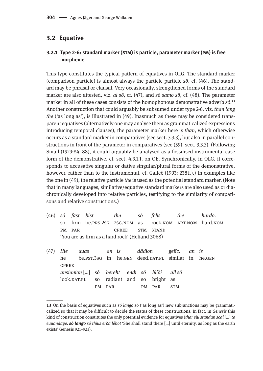# **3.2 Equative**

# **3.2.1 Type 2-6: standard marker (stm) is particle, parameter marker (pm) is free morpheme**

This type constitutes the typical pattern of equatives in OLG. The standard marker (comparison particle) is almost always the particle particle *sô*, cf. (46). The standard may be phrasal or clausal. Very occasionally, strengthened forms of the standard marker are also attested, viz. *al sô*, cf. (47), and *sô samo sô*, cf. (48). The parameter marker in all of these cases consists of the homophonous demonstrative adverb  $s\hat{o}$ <sup>13</sup> Another construction that could arguably be subsumed under type 2-6, viz. *than lang the* ('as long as'), is illustrated in (49). Inasmuch as these may be considered transparent equatives (alternatively one may analyse them as grammaticalized expressions introducing temporal clauses), the parameter marker here is *than*, which otherwise occurs as a standard marker in comparatives (see sect. 3.3.3), but also in parallel constructions in front of the parameter in comparatives (see (59), sect. 3.3.3). (Following Small (1929:84–88), it could arguably be analysed as a fossilised instrumental case form of the demonstrative, cf. sect. 4.3.1.1. on OE. Synchronically, in OLG, it corresponds to accusative singular or dative singular/plural forms of the demonstrative, however, rather than to the instrumental, cf. Galleé (1993: 238 f.).) In examples like the one in (49), the relative particle *the* is used as the potential standard marker. (Note that in many languages, similative/equative standard markers are also used as or diachronically developed into relative particles, testifying to the similarity of comparisons and relative constructions.)

- (46) *sô fast bist thu sô felis the hardo*. so firm be.prs.2sg 2sg.nom as rock.nom art.nom hard.nom PM PAR CPREE STM STAND 'You are as firm as a hard rock' (Heliand 3068)
- (47) *Hie uuas an is dâdion gelîc, an is* he be.pst.3sg in he.gen deed.DAT.PL similar in he.gen **CPREE** *ansiunion* […] *sô bereht endi sô blîði all sô* look.DAT.PL so radiant and so bright as pm par pm par stm

**<sup>13</sup>** On the basis of equatives such as *sô lango sô* ('as long as') new subjunctions may be grammaticalized so that it may be difficult to decide the status of these constructions. In fact, in *Genesis* this kind of construction constitutes the only potential evidence for equatives (*thar siu standan scal* […] *te êuuandage, sô lango sô thius erða lêƀot* 'She shall stand there […] until eternity, as long as the earth exists' Genesis 921–923).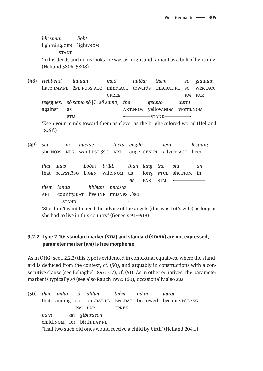*blicsmun* lioht lightning.GEN light.NOM  $STAND$ 

'In his deeds and in his looks, he was as bright and radiant as a bolt of lightning' (Heliand 5806-5808)

(48) Hebbead iuuuan  $m\hat{o}d$ uuiðar them  $s\hat{o}$ glauuan have.IMP.PL 2PL.POSS.ACC mind.ACC towards this.DAT.PL so wise.ACC **CPREE**  $PM$ PAR tegegnes, sô samo sô [C: sô samo] the geluuo  $$ against as ART.NOM yellow.NOM worm.NOM  $-STAND-$ **STM** 'Keep your minds toward them as clever as the bright-colored worm' (Heliand

1876f.)

 $(49)$  siu uuelde thera engilo lêra ni lêstian; angel.GEN.PL advice.ACC heed she.NOM NEG want.PST.3SG ART that uuas Loðas brûd. than lang the siu an that be.PST.3SG L.GEN wife.NOM as long PTCL she.NOM in  $PM$ PAR **STM**  $\mathbf{L}$ them landa libbian muosta ART country.DAT live.INF must.PST.3SG -STAND-

'She didn't want to heed the advice of the angels (this was Lot's wife) as long as she had to live in this country' (Genesis 917-919)

## 3.2.2 Type 2-10: standard marker (STM) and standard (STAND) are not expressed, parameter marker (PM) is free morpheme

As in OHG (sect. 2.2.2) this type is evidenced in contextual equatives, where the standard is deduced from the context, cf. (50), and arguably in constructions with a consecutive clause (see Behaghel 1897: 317), cf. (51). As in other equatives, the parameter marker is typically sô (see also Rauch 1992: 160), occasionally also sus.

(50) that undar aldun tuêm ôdan uurði sô old.pat.pl two.pat bestowed become.pst.3sG that among so PM PAR **CPREE** barn an giburdeon child, NOM for birth, DAT.PL 'That two such old ones would receive a child by birth' (Heliand 204 f.)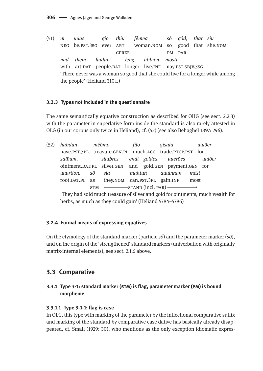$(51)$  $ni$ thiu fêmea gôd, that siu uuas gio sô good that she.NOM NEG be.PST.3SG ever ART woman.NOM so **CPREE** PM PAR mid them liudun libbien môsti leng with art.DAT people.DAT longer live.INF may.PST.SBJV.3SG 'There never was a woman so good that she could live for a longer while among the people' (Heliand 310f.)

## 3.2.3 Types not included in the questionnaire

The same semantically equative construction as described for OHG (see sect. 2.2.3) with the parameter in superlative form inside the standard is also rarely attested in OLG (in our corpus only twice in Heliand), cf. (52) (see also Behaghel 1897: 296).

| (52) | habdun mêðmo                     |  | filo | gisald                                                   | uuiðer |
|------|----------------------------------|--|------|----------------------------------------------------------|--------|
|      |                                  |  |      | have.PST.3PL treasure.GEN.PL much.ACC trade.PTCP.PST for |        |
|      | salbum.                          |  |      | silubres  endi goldes, uuerðes                           | uuiðer |
|      |                                  |  |      | ointment.DAT.PL silver.GEN and gold.GEN payment.GEN for  |        |
|      | uuurtion, sô sia mahtun auuinnan |  |      |                                                          | mêst   |
|      |                                  |  |      | root.DAT.PL as they.NOM can.PST.3PL gain.INF most        |        |
|      |                                  |  |      | $STM \longleftarrow STAND$ (incl. PAR) $\longleftarrow$  |        |
|      |                                  |  |      |                                                          |        |

'They had sold much treasure of silver and gold for ointments, much wealth for herbs, as much as they could gain' (Heliand 5784–5786)

## 3.2.4 Formal means of expressing equatives

On the etymology of the standard marker (particle  $s\hat{o}$ ) and the parameter marker  $(s\hat{o})$ , and on the origin of the 'strengthened' standard markers (univerbation with originally matrix-internal elements), see sect. 2.1.6 above.

# 3.3 Comparative

# 3.3.1 Type 3-1: standard marker (STM) is flag, parameter marker (PM) is bound morpheme

## 3.3.1.1 Type 3-1-1: flag is case

In OLG, this type with marking of the parameter by the inflectional comparative suffix and marking of the standard by comparative case dative has basically already disappeared, cf. Small (1929: 30), who mentions as the only exception idiomatic expres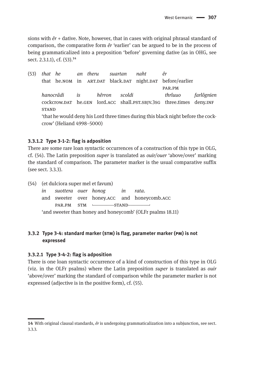sions with *êr* + dative. Note, however, that in cases with original phrasal standard of comparison, the comparative form *êr* 'earlier' can be argued to be in the process of being grammaticalized into a preposition 'before' governing dative (as in OHG, see sect. 2.3.1.1), cf. (53).<sup>14</sup>

(53) *that he an theru suartan naht êr* that he.nom in ART.DAT black.DAT night.DAT before/earlier par.pm *hanocrâdi is hêrron scoldi thrîuuo farlôgnien* cockcrow.DAT he.GEN lord.ACC shall.PST.SBJV.3sG three.times deny.INF **STAND** 'that he would deny his Lord three times during this black night before the cockcrow' (Heliand 4998–5000)

#### **3.3.1.2 Type 3-1-2: flag is adposition**

There are some rare loan syntactic occurrences of a construction of this type in OLG, cf. (54). The Latin preposition *super* is translated as *ouir/ouer* 'above/over' marking the standard of comparison. The parameter marker is the usual comparative suffix (see sect. 3.3.3).

(54) (et dulciora super mel et favum) *in suottera ouer honog in rata*. and sweeter over honey.acc and honeycomb.acc PAR.PM STM  $\longleftarrow$  STAND 'and sweeter than honey and honeycomb' (OLFr psalms 18.11)

## **3.3.2 Type 3-4: standard marker (stm) is flag, parameter marker (pm) is not expressed**

#### **3.3.2.1 Type 3-4-2: flag is adposition**

There is one loan syntactic occurrence of a kind of construction of this type in OLG (viz. in the OLFr psalms) where the Latin preposition *super* is translated as *ouir* 'above/over' marking the standard of comparison while the parameter marker is not expressed (adjective is in the positive form), cf. (55).

**<sup>14</sup>** With original clausal standards, *êr* is undergoing grammaticalization into a subjunction, see sect. 3.3.3.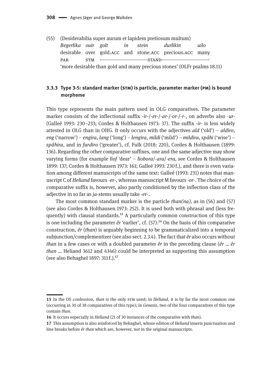(55) (Desiderabilia super aurum et lapidem pretiosum multum) *Begerlika ouir golt in stein durlikin uilo* desirable over gold.acc and stone.acc precious.acc many par stm ˻\_\_\_\_\_\_\_\_\_\_\_\_\_\_\_\_\_\_stand\_\_\_\_\_\_\_\_\_\_\_\_\_\_\_\_\_\_˼ 'more desirable than gold and many precious stones' (OLFr psalms 18.11)

#### **3.3.3 Type 3-5: standard marker (stm) is particle, parameter marker (pm) is bound morpheme**

This type represents the main pattern used in OLG comparatives. The parameter marker consists of the inflectional suffix -*ir*-/-*er*-/-*ar*-/-*or-*/*-r-*, on adverbs also *-ur-* (Galleé 1993: 230–233; Cordes & Holthausen 1973: 37). The suffix -*ir*- is less widely attested in OLG than in OHG. It only occurs with the adjectives *ald* ('old') – *aldiro*, *eng* ('narrow') – *engira*, *lang* ('long') – *lengira*, *mildi* ('mild') – *mildira*, *spâhi* ('wise') – *spâhira*, and in *furdiro* ('greater'), cf. Fulk (2018: 220), Cordes & Holthausen (1899: 136). Regarding the other comparative suffixes, one and the same adjective may show varying forms (for example *liof* 'dear' – *liobora*/-*ara*/-*era,* see Cordes & Holthausen 1899: 137; Cordes & Holthausen 1973: 161; Galleé 1993: 230 f.), and there is even variation among different manuscripts of the same text: Galleé (1993: 231) notes that manuscript C of *Heliand* favours -*er*-, whereas manuscript M favours -*or*-. The choice of the comparative suffix is, however, also partly conditioned by the inflection class of the adjective in so far as *ja*-stems usually take -*er*-.

The most common standard marker is the particle *than(na),* as in (56) and (57) (see also Cordes & Holthausen 1973: 252). It is used both with phrasal and (less frequently) with clausal standards.<sup>15</sup> A particularly common construction of this type is one including the parameter  $\hat{e}r$  'earlier', cf.  $(57)^{16}$  On the basis of this comparative construction, *êr* (*than*) is arguably beginning to be grammaticalized into a temporal subjunction/complementizer (see also sect. 2.3.4). The fact that *êr* also occurs without *than* in a few cases or with a doubled parameter *êr* in the preceding clause (*êr … êr than …* Heliand 3612 and 4346) could be interpreted as supporting this assumption (see also Behaghel 1897:  $311f.$ ). $^{17}$ 

**<sup>15</sup>** In the OS confession, *than* is the only stm used; in *Heliand*, it is by far the most common one (occurring in 30 of 38 comparatives of this type); in *Genesis*, two of the four comparatives of this type contain *than*.

**<sup>16</sup>** It occurs especially in *Heliand* (21 of 30 instances of the comparative with *than*).

**<sup>17</sup>** This assumption is also reinforced by Behaghel, whose edition of *Heliand* inserts punctuation and line breaks before *êr than* which are, however, not in the original manuscripts.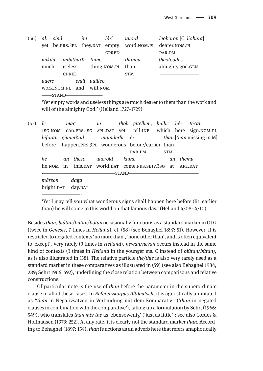| (56) | ak sind |  |                           | im |              | lâri              | uuord      | leoboron [C: liobara]                                                                                                                                                                                                              |
|------|---------|--|---------------------------|----|--------------|-------------------|------------|------------------------------------------------------------------------------------------------------------------------------------------------------------------------------------------------------------------------------------|
|      |         |  |                           |    |              |                   |            | yet be.prs.3pl they.par empty word.nom.pl dearer.nom.pl                                                                                                                                                                            |
|      |         |  |                           |    |              | <b>CPREE-</b>     |            | PAR.PM                                                                                                                                                                                                                             |
|      |         |  | mikilu, umbitharbi thing, |    |              |                   | thanna     | theotgodes                                                                                                                                                                                                                         |
|      | much    |  | useless                   |    |              | thing.NOM.PL than |            | almighty.god.GEN                                                                                                                                                                                                                   |
|      | -CPREE  |  |                           |    |              |                   | <b>STM</b> |                                                                                                                                                                                                                                    |
|      | uuerc   |  |                           |    | endi uuilleo |                   |            |                                                                                                                                                                                                                                    |
|      |         |  | work.NOM.PL and will.NOM  |    |              |                   |            |                                                                                                                                                                                                                                    |
|      | -STAND- |  |                           |    |              |                   |            |                                                                                                                                                                                                                                    |
|      |         |  |                           |    |              |                   |            | $\alpha_{l}$ and the contract of the contract of the contract of the contract of the contract of the contract of the contract of the contract of the contract of the contract of the contract of the contract of the contract of t |

Yet empty words and useless things are much dearer to them than the work and will of the almighty God.' (Heliand 1727-1729)

 $(57)$  Ic thoh gitellien, huilic hêr têcan mag  $\dot{u}$ tell.INF 1SG.NOM can.PRS.1SG 2PL.DAT vet which here sign.NOM.PL biforan giuuerðad uuunderlîc êr *than* [*than* missing in M] hefore happen.PRS.3PL wonderous before/earlier than **STM** PAR.PM  $h\rho$ an these uuerold kume an themu he.NOM this.DAT world.DAT come.PRS.SBJV.3SG at in ART.DAT -STANDmâreon daga bright.DAT day.DAT

'Yet I may tell you what wonderous signs shall happen here before (lit. earlier than) he will come to this world on that famous day.' (Heliand 4308-4310)

Besides than, biûtan/bûtan/bôtan occasionally functions as a standard marker in OLG (twice in Genesis, 7 times in *Heliand*), cf. (58) (see Behaghel 1897: 51). However, it is restricted to negated contexts 'no more than', 'none other than', and is often equivalent to 'except'. Very rarely (3 times in Heliand), newan/nevan occurs instead in the same kind of contexts (3 times in Heliand in the younger ms. C instead of biûtan/bûtan), as is also illustrated in  $(58)$ . The relative particle *the/thie* is also very rarely used as a standard marker in these comparatives as illustrated in (59) (see also Behaghel 1984, 289; Sehrt 1966: 592), underlining the close relation between comparisons and relative constructions.

Of particular note is the use of *than* before the parameter in the superordinate clause in all of these cases. In Referenzkorpus Altdeutsch, it is agnostically annotated as "than in Negativsätzen in Verbindung mit dem Komparativ" ('than in negated clauses in combination with the comparative'), taking up a formulation by Sehrt (1966: 549), who translates *than mêr the* as 'ebensowenig' ('just as little'); see also Cordes & Holthausen (1973: 252). At any rate, it is clearly not the standard marker than. According to Behaghel (1897: 154), than functions as an adverb here that refers anaphorically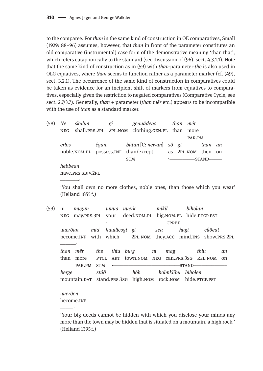to the comparee. For *than* in the same kind of construction in OE comparatives, Small (1929: 88–96) assumes, however, that than in front of the parameter constitutes an old comparative (instrumental) case form of the demonstrative meaning 'than that', which refers cataphorically to the standard (see discussion of (96), sect. 4.3.1.1). Note that the same kind of construction as in (59) with *than*-parameter-*the* is also used in OLG equatives, where *than* seems to function rather as a parameter marker (cf. (49), sect. 3.2.1). The occurrence of the same kind of construction in comparatives could be taken as evidence for an incipient shift of markers from equatives to comparatives, especially given the restriction to negated comparatives (Comparative Cycle, see sect. 2.7/3.7). Generally, *than* + parameter *(than mêretc.)* appears to be incompatible with the use of *than* as a standard marker.

 $(58)$  Ne skulun geuuâdeas gi than mêr shall.PRS.2PL 2PL.NOM clothing.GEN.PL than more  $NEG$ PAR.PM bûtan [C: newan] erlos êgan, sô gi than an noble.NOM.PL possess.INF than/except as 2PL.NOM then on **STM** -STANDhebbean have.PRS.SBJV.2PL

'You shall own no more clothes, noble ones, than those which you wear' (Heliand 1855 f.)

 $(59)$ ni mugun iuuua uuerk mikil biholan deed.NOM.PL big.NOM.PL hide.PTCP.PST  $NEG$ may.PRS.3PL your -CPREEhuuilicogi gi uuerðan mid sea hugi cûðeat become.INF with which 2PL.NOM they.ACC mind.INS show.PRS.2PL than mêr the thiu burg ni thiu mag  $\mathfrak{a}$ than more **PTCL** ART town.NOM NEG can.PRS.3SG REL.NOM  $\Omega$ PAR.PM **STM**  $-$ STANDberge stâð hôh holmklibu biholen mountain.DAT stand.PRS.3SG high.NOM rock.NOM hide.PTCP.PST

uuerðen become.INF

'Your big deeds cannot be hidden with which you disclose your minds any more than the town may be hidden that is situated on a mountain, a high rock.' (Heliand 1395 f.)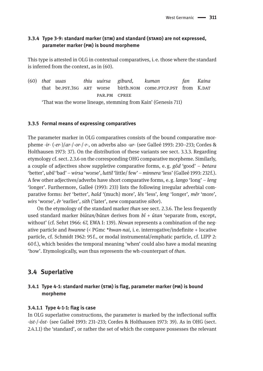# **3.3.4 Type 3-9: standard marker (stm) and standard (stand) are not expressed, parameter marker (pm) is bound morpheme**

This type is attested in OLG in contextual comparatives, i. e. those where the standard is inferred from the context, as in (60).

(60) *that uuas thiu uuirsa giburd, kuman fan Kaina* that be.pst.3sg ART worse birth.nom come.ptcp.pst from K.DAT par.pm cpree 'That was the worse lineage, stemming from Kain' (Genesis 711)

#### **3.3.5 Formal means of expressing comparatives**

The parameter marker in OLG comparatives consists of the bound comparative morpheme -*ir*- (-*er*-)/*ar*-/-*or-*/*-r-,* on adverbs also *-ur-* (see Galleé 1993: 230–233; Cordes & Holthausen 1973: 37). On the distribution of these variants see sect. 3.3.3. Regarding etymology cf. sect. 2.3.6 on the corresponding OHG comparative morpheme. Similarly, a couple of adjectives show suppletive comparative forms, e. g. *gôd* 'good' – *betara* 'better', *ubil* 'bad' – *wirsa* 'worse', *luttil* 'little/ few' – *minnera* 'less' (Galleé 1993: 232 f.). A few other adjectives/adverbs have short comparative forms, e. g. *lango* 'long' – *leng* 'longer'. Furthermore, Galleé (1993: 233) lists the following irregular adverbial comparative forms: *bet* 'better'*, hald* '(much) more'*, lês* 'less'*, leng* 'longer'*, mêr* 'more'*, wirs* 'worse'*, êr* 'earlier', *sith* ('later', new comparative *siðor*).

On the etymology of the standard marker *than* see sect. 2.3.6. The less frequently used standard marker *biûtan/bûtan* derives from *bî* + *ûtan* 'separate from, except, without' (cf. Sehrt 1966: 67, EWA I: 139). *Newan* represents a combination of the negative particle and *hwanne* (< PGmc \**hwan-nai*, i. e. interrogative/indefinite + locative particle, cf. Schmidt 1962: 95 f., or modal instrumental/emphatic particle, cf. LIPP 2: 60 f.), which besides the temporal meaning 'when' could also have a modal meaning 'how'. Etymologically, *wan* thus represents the wh-counterpart of *than.*

# **3.4 Superlative**

## **3.4.1 Type 4-1: standard marker (stm) is flag, parameter marker (pm) is bound morpheme**

#### **3.4.1.1 Type 4-1-1: flag is case**

In OLG superlative constructions, the parameter is marked by the inflectional suffix -*ist*-/-*ôst*- (see Galleé 1993: 231–233; Cordes & Holthausen 1973: 39). As in OHG (sect. 2.4.1.1) the 'standard', or rather the set of which the comparee possesses the relevant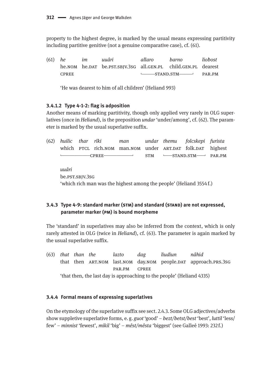property to the highest degree, is marked by the usual means expressing partitivity including partitive genitive (not a genuine comparative case), cf. (61).

| $(61)$ he |              | im | uuâri                                                         | allaro    | barno | lioħost |
|-----------|--------------|----|---------------------------------------------------------------|-----------|-------|---------|
|           |              |    | he.nom he.par be.pst.sbjv.3sg all.gen.pl child.gen.pl dearest |           |       |         |
|           | <b>CPREE</b> |    |                                                               | S TANDSTM |       | PAR.PM  |

'He was dearest to him of all children' (Heliand 993)

#### **3.4.1.2 Type 4-1-2: flag is adposition**

Another means of marking partitivity, though only applied very rarely in OLG superlatives (once in *Heliand*), is the preposition *undar* 'under/among', cf. (62). The parameter is marked by the usual superlative suffix.

| (62) |                                                                     |  | huilic thar rîki | man                                                        |            |  | undar themu folcskepi furista                      |  |  |  |  |
|------|---------------------------------------------------------------------|--|------------------|------------------------------------------------------------|------------|--|----------------------------------------------------|--|--|--|--|
|      |                                                                     |  |                  | which PTCL rich.NOM man.NOM under ART.DAT folk.DAT highest |            |  |                                                    |  |  |  |  |
|      |                                                                     |  | -CPREE———————    |                                                            | <b>STM</b> |  | $\longleftarrow$ STAND.STM $\longleftarrow$ PAR.PM |  |  |  |  |
|      | uuâri                                                               |  |                  |                                                            |            |  |                                                    |  |  |  |  |
|      | be.pst.sbJv.3sG                                                     |  |                  |                                                            |            |  |                                                    |  |  |  |  |
|      | 'which rich man was the highest among the people' (Heliand 3554 f.) |  |                  |                                                            |            |  |                                                    |  |  |  |  |

# **3.4.3 Type 4-9: standard marker (stm) and standard (stand) are not expressed, parameter marker (pm) is bound morpheme**

The 'standard' in superlatives may also be inferred from the context, which is only rarely attested in OLG (twice in *Heliand*), cf. (63). The parameter is again marked by the usual superlative suffix.

(63) *that than the lazto dag liudiun nâhid* that then ART.NOM last.NOM day.NOM people.DAT approach.PRS.3sG par.pm cpree 'that then, the last day is approaching to the people' (Heliand 4335)

#### **3.4.4 Formal means of expressing superlatives**

On the etymology of the superlative suffix see sect. 2.4.3. Some OLG adjectives/adverbs show suppletive superlative forms, e. g. *guot* 'good' – *bezt/betst/best* 'best', *luttil* 'less/ few' – *minnist* 'fewest', *mikil* 'big' – *mêst/mêsta* 'biggest' (see Galleé 1993: 232 f.)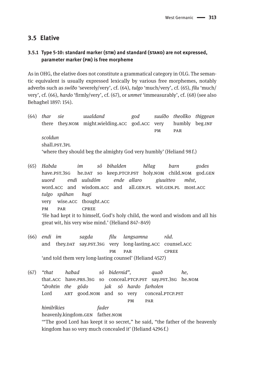# **3.5 Elative**

#### **3.5.1 Type 5-10: standard marker (stm) and standard (stand) are not expressed, parameter marker (pm) is free morpheme**

As in OHG, the elative does not constitute a grammatical category in OLG. The semantic equivalent is usually expressed lexically by various free morphemes, notably adverbs such as *swîðo* 'severely/very', cf. (64), *tulgo* 'much/very', cf. (65), *filu* 'much/ very', cf. (66), *hardo* 'firmly/very', cf. (67), or *unmet* 'immeasurably', cf. (68) (see also Behaghel 1897: 154).

(64) *thar sie uualdand god suuîðo theolîko thiggean* there they.nom might.wielding.acc god.acc very humbly beg.inf pm par *scoldun* shall.pst.3pl. 'where they should beg the almighty God very humbly' (Heliand 98 f.)

- (65) *Habda im sô bihalden hêlag barn godes* have.pst.3sg he.pat so keep.ptcp.pst holy.nom child.nom god.gen *uuord endi uuîsdôm ende allaro giuuitteo mêst,* word.acc and wisdom.acc and all.gen.pl wit.gen.pl most.acc *tulgo spâhan hugi* very wise.acc thought.acc pm par cpree 'He had kept it to himself, God's holy child, the word and wisdom and all his great wit, his very wise mind.' (Heliand 847–849)
- (66) *endi im sagda filu langsamna râd.* and they.DAT say.PST.3sG very long-lasting.ACC counsel.ACC pm par cpree 'and told them very long-lasting counsel' (Heliand 4527)

(67) *"that haƀad sô bidernid", quað he,* that.ACC have.PRS.3SG so conceal.PTCP.PST say.PST.3SG he.NOM *"drohtin the gôdo jak sô hardo farholen* Lord ART good.nom and so very conceal.PTCP.PST pm par *himilrîkies fader* heavenly.kingdom.gen father.nom '"The good Lord has keept it so secret," he said, "the father of the heavenly kingdom has so very much concealed it' (Heliand 4296 f.)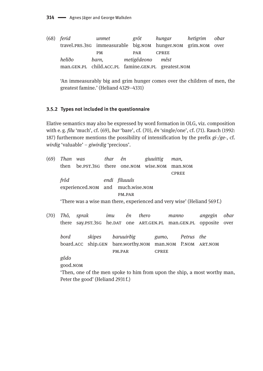(68) *ferid unmet grôt hungar hetigrim oƀar* travel.prs.3sg immeasurable big.nom hunger.nom grim.nom over PM PAR CPREE *heliðo barn, metigêdeono mêst* man.gen.pl child.acc.pl famine.gen.pl greatest.nom

'An immeasurably big and grim hunger comes over the children of men, the greatest famine.' (Heliand 4329–4331)

#### **3.5.2 Types not included in the questionnaire**

Elative semantics may also be expressed by word formation in OLG, viz. composition with e. g. *filu* 'much', cf. (69), *bar* 'bare', cf. (70), *ên* 'single/one', cf. (71). Rauch (1992: 187) furthermore mentions the possibility of intensification by the prefix *gi-/ge*-, cf. *wirdig* 'valuable' – *giwirdig* 'precious'.

| (69)                              |                                                                          | Than was thar ên                  |  |               |       | giuuittig    | man,                                                                     |         |      |  |
|-----------------------------------|--------------------------------------------------------------------------|-----------------------------------|--|---------------|-------|--------------|--------------------------------------------------------------------------|---------|------|--|
|                                   | then                                                                     | be.pst.3sG there one.nom wise.nom |  |               |       |              | man.NOM                                                                  |         |      |  |
|                                   |                                                                          |                                   |  |               |       |              | <b>CPREE</b>                                                             |         |      |  |
|                                   | frôd                                                                     |                                   |  | endi filuuuîs |       |              |                                                                          |         |      |  |
|                                   |                                                                          | experienced.NOM and much.wise.NOM |  |               |       |              |                                                                          |         |      |  |
|                                   |                                                                          |                                   |  | PM.PAR        |       |              |                                                                          |         |      |  |
|                                   |                                                                          |                                   |  |               |       |              | 'There was a wise man there, experienced and very wise' (Heliand 569 f.) |         |      |  |
| (70)                              | Thô.                                                                     | sprak                             |  | imu ên        | thero |              | manno                                                                    | angegin | obar |  |
|                                   |                                                                          |                                   |  |               |       |              | there say. PST.3SG he.DAT one ART. GEN. PL man. GEN. PL opposite         |         | over |  |
|                                   | bord                                                                     | skipes                            |  | baruuirðig    |       | gumo,        | Petrus the                                                               |         |      |  |
|                                   |                                                                          |                                   |  |               |       |              | board.ACC ship.GEN bare.worthy.NOM man.NOM P.NOM                         | ART.NOM |      |  |
|                                   |                                                                          |                                   |  | PM.PAR        |       | <b>CPREE</b> |                                                                          |         |      |  |
|                                   | gôdo                                                                     |                                   |  |               |       |              |                                                                          |         |      |  |
|                                   | good.NOM                                                                 |                                   |  |               |       |              |                                                                          |         |      |  |
|                                   | Then, one of the men spoke to him from upon the ship, a most worthy man, |                                   |  |               |       |              |                                                                          |         |      |  |
| Peter the good' (Heliand 2931 f.) |                                                                          |                                   |  |               |       |              |                                                                          |         |      |  |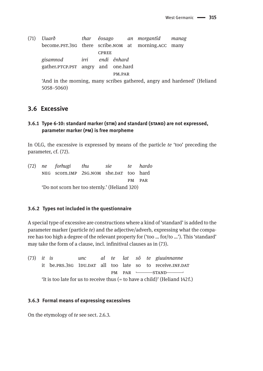(71) *Uuarð thar êosago an morgantîd manag* become.pst.3sg there scribe.nom at morning.acc many cpree *gisamnod irri endi ênhard* gather.ptcp.pst angry and one.hard pm.par 'And in the morning, many scribes gathered, angry and hardened' (Heliand 5058–5060)

# **3.6 Excessive**

# **3.6.1 Type 6-10: standard marker (stm) and standard (stand) are not expressed, parameter marker (pm) is free morpheme**

In OLG, the excessive is expressed by means of the particle *te* 'too' preceding the parameter, cf. (72).

|                                               | (72) ne forhugi thu sie te hardo       |  |  |  |        |  |  |  |  |
|-----------------------------------------------|----------------------------------------|--|--|--|--------|--|--|--|--|
|                                               | NEG scorn.IMP 2SG.NOM she.DAT too hard |  |  |  |        |  |  |  |  |
|                                               |                                        |  |  |  | PM PAR |  |  |  |  |
| 'Do not scorn her too sternly.' (Heliand 320) |                                        |  |  |  |        |  |  |  |  |

#### **3.6.2 Types not included in the questionnaire**

A special type of excessive are constructions where a kind of 'standard' is added to the parameter marker (particle *te*) and the adjective/adverb, expressing what the comparee has too high a degree of the relevant property for ('too … for/to …'). This 'standard' may take the form of a clause, incl. infinitival clauses as in (73).

(73) *it is unc al te lat sô te giuuinnanne* it be.PRS.3SG 1DU.DAT all too late so to receive.INF.DAT PM PAR <del>\_\_\_\_\_\_\_\_</del>STAND\_ 'It is too late for us to receive thus (= to have a child)' (Heliand 142 f.)

#### **3.6.3 Formal means of expressing excessives**

On the etymology of *te* see sect. 2.6.3.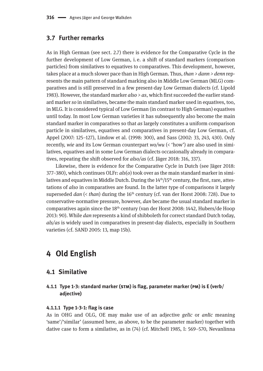# **3.7 Further remarks**

As in High German (see sect. 2.7) there is evidence for the Comparative Cycle in the further development of Low German, i. e. a shift of standard markers (comparison particles) from similatives to equatives to comparatives. This development, however, takes place at a much slower pace than in High German. Thus, *than > dann > denn* represents the main pattern of standard marking also in Middle Low German (MLG) comparatives and is still preserved in a few present-day Low German dialects (cf. Lipold 1983). However, the standard marker *also > as*, which first succeeded the earlier standard marker *so* in similatives, became the main standard marker used in equatives, too, in MLG. It is considered typical of Low German (in contrast to High German) equatives until today. In most Low German varieties it has subsequently also become the main standard marker in comparatives so that *as* largely constitutes a uniform comparison particle in similatives, equatives and comparatives in present-day Low German, cf. Appel (2007: 125–127), Lindow et al. (1998: 300), and Sass (2002: 33, 243, 430). Only recently, *wie* and its Low German counterpart *wo/wu* (< 'how') are also used in similatives, equatives and in some Low German dialects occasionally already in comparatives, repeating the shift observed for *also/as* (cf. Jäger 2018: 316, 337).

Likewise, there is evidence for the Comparative Cycle in Dutch (see Jäger 2018: 377–380), which continues OLFr: *als*(*o*) took over as the main standard marker in similatives and equatives in Middle Dutch. During the 14<sup>th</sup>/15<sup>th</sup> century, the first, rare, attestations of *also* in comparatives are found. In the latter type of comparisons it largely superseded *dan* (< *than*) during the 16<sup>th</sup> century (cf. van der Horst 2008: 728). Due to conservative-normative pressure, however, *dan* became the usual standard marker in comparatives again since the 18<sup>th</sup> century (van der Horst 2008: 1442, Hubers/de Hoop 2013: 90). While *dan* represents a kind of shibboleth for correct standard Dutch today, *als/as* is widely used in comparatives in present-day dialects, especially in Southern varieties (cf. SAND 2005: 13, map 15b).

# **4 Old English**

## **4.1 Similative**

#### **4.1.1 Type 1-3: standard marker (stm) is flag, parameter marker (pm) is E (verb/ adjective)**

#### **4.1.1.1 Type 1-3-1: flag is case**

As in OHG and OLG, OE may make use of an adjective *gelīc* or *anlīc* meaning 'same'/'similar' (assumed here, as above, to be the parameter marker) together with dative case to form a similative, as in (74) (cf. Mitchell 1985, I: 569–570, Nevanlinna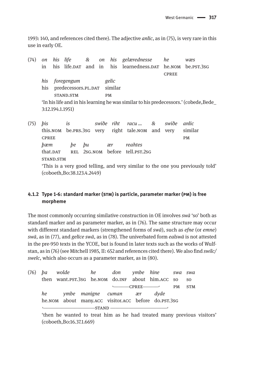1993: 140, and references cited there). The adjective *anlīc*, as in (75), is very rare in this use in early OE.

(74) *on his life & on his gelærednesse he wæs* in his life.dat and in his learnedness.dat he.nom be.pst.3sg **CPREE** *his foregengum gelic* his predecessors.PL.DAT similar stand.stm pm 'In his life and in his learning he was similar to his predecessors.' (cobede,Bede\_ 3:12.194.1.1951)

(75) *þis is swiðe riht racu … & swiðe anlic* this.nom be.prs.3sg very right tale.nom and very similar CPREE PM *þæm þe þu ær reahtes* that.DAT REL 2SG.NOM before tell.PST.2SG stand.stm 'This is a very good telling, and very similar to the one you previously told' (coboeth,Bo:38.123.4.2449)

## **4.1.2 Type 1-6: standard marker (stm) is particle, parameter marker (pm) is free morpheme**

The most commonly occurring similative construction in OE involves *swā* 'so' both as standard marker and as parameter marker, as in (76). The same structure may occur with different standard markers (strengthened forms of *swā*), such as *efne* (or *emne*) *swā*, as in (77), and *gelīce swā*, as in (78). The univerbated form *ealswā* is not attested in the pre-950 texts in the YCOE, but is found in later texts such as the works of Wulfstan, as in (76) (see Mitchell 1985, II: 652 and references cited there). We also find *swilc/ swelc*, which also occurs as a parameter marker, as in (80).

|                                                     |  |  |  |  |                             |  | (76) pa wolde he don ymbe hine swa swa           |           |                |
|-----------------------------------------------------|--|--|--|--|-----------------------------|--|--------------------------------------------------|-----------|----------------|
|                                                     |  |  |  |  |                             |  | then want.PST.3SG he.NOM do.INF about him.ACC so |           | S <sub>O</sub> |
|                                                     |  |  |  |  | $\longleftarrow$ CPREE      |  |                                                  | <b>PM</b> | <b>STM</b>     |
| he                                                  |  |  |  |  | ymbe manigne cuman exr dyde |  |                                                  |           |                |
| he.NOM about many.ACC visitor.ACC before do.PST.3SG |  |  |  |  |                             |  |                                                  |           |                |
|                                                     |  |  |  |  |                             |  |                                                  |           |                |

'then he wanted to treat him as he had treated many previous visitors' (coboeth,Bo:16.37.1.669)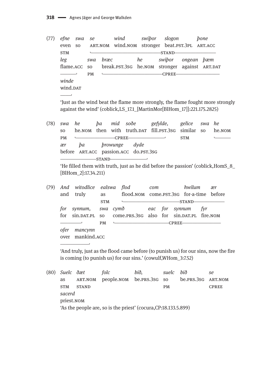$(77)$ efne swa wind swibor slogon bone se ART.NOM wind.NOM stronger beat.PST.3PL ART.ACC even so **STM**  $\mathbf{L}$  $-STAND$ leg he swibor swa bræc ongean *b*æm flame.ACC  $SO<sub>2</sub>$ break.PST.3SG he.NOM stronger against ART.DAT and the company  $PM$  $\mathbf{L}$  $-CPREE$ winde wind.DAT 

'lust as the wind beat the flame more strongly, the flame fought more strongly against the wind' (coblick, LS 17.1 [MartinMor[BlHom 17]]: 221,175, 2825)

 $(78)$  swa he ba mid soðe gefylde. gelice swa he he.NOM then with truth.DAT fill.PST.3SG similar so SO. he.<sub>NOM</sub>  $-$ CPREE $-$ **PM**  $\mathbf{L}$  $\overline{a}$ **STM**  $ba$ *browunge* dyde ær before ART.ACC passion.ACC do.PST.3SG  $STAND$ 

'He filled them with truth, just as he did before the passion' (coblick, HomS\_8\_ [BlHom 2]:17.34.211)

| (79) |             | And witodlice ealswa flod |            |                                                                                                                                                                                                                                | com |         | hwilum              | ær  |
|------|-------------|---------------------------|------------|--------------------------------------------------------------------------------------------------------------------------------------------------------------------------------------------------------------------------------|-----|---------|---------------------|-----|
|      |             | and truly                 | as         | flood, NOM come, PST, 3sG for-a-time before                                                                                                                                                                                    |     |         |                     |     |
|      |             |                           | <b>STM</b> | have a strategic control of the strategic control of the strategic control of the strategic control of the strategic control of the strategic control of the strategic control of the strategic control of the strategic contr |     |         | -STAND <sup>.</sup> |     |
|      | for         |                           |            | synnum, swa cymð   eac for synnum                                                                                                                                                                                              |     |         |                     | fyr |
|      | for         |                           |            | sin.par.pl so come.prs.3sg also for sin.par.pl fire.nom                                                                                                                                                                        |     |         |                     |     |
|      |             |                           | <b>PM</b>  |                                                                                                                                                                                                                                |     | -CPREE- |                     |     |
|      | <i>ofer</i> | mancynn                   |            |                                                                                                                                                                                                                                |     |         |                     |     |
|      |             | over mankind.ACC          |            |                                                                                                                                                                                                                                |     |         |                     |     |

'And truly, just as the flood came before (to punish us) for our sins, now the fire is coming (to punish us) for our sins.' (cowulf, WHom 3:7.52)

folc (80) Suelc ðæt bið, suelc bið se as ART.NOM people.NOM be.PRS.3SG  $SO<sub>2</sub>$ be.PRS.3SG ART.NOM **STM STAND** PM **CPREE** sacerd priest.NOM 'As the people are, so is the priest' (cocura, CP: 18.133.5.899)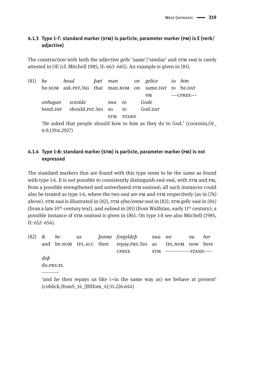# **4.1.3 Type 1-7: standard marker (stm) is particle, parameter marker (pm) is E (verb/ adjective)**

The construction with both the adjective *gelīc* 'same'/'similar' and stm *swā* is rarely attested in OE (cf. Mitchell 1985, II: 663–665). An example is given in (81).

(81) *he bead þæt man on gelice to him*  he.nom ask.pst.3sg that man.nom on same.par to he.par  $PM$   $\longrightarrow$  CPREE $\longrightarrow$ *onbugan sceolde swa to Gode* bend.INF should.pst.3sg so to God.DAT stm stand 'He asked that people should bow to him as they do to God.' (coorosiu,Or\_ 6:9.139.6.2927)

# **4.1.4 Type 1-8: standard marker (stm) is particle, parameter marker (pm) is not expressed**

The standard markers that are found with this type seem to be the same as found with type 1-6. It is not possible to consistently distinguish *swā swā*, with stm and pm, from a possible strengthened and univerbated stm *swāswā*; all such instances could also be treated as type 1-6, where the two *swā* are pm and stm respectively (as in (76) above). stm *swā* is illustrated in (82), stm *efne/emne swā* in (83), stm *gelīc swā* in (84) (from a late 10<sup>th</sup>-century text), and *ealswa* in (85) (from Wulfstan, early 11<sup>th</sup> century); a possible instance of stm *swāswā* is given in (86). On type 1-8 see also Mitchell (1985, II: 652–654).

|           |  | (82) & he us bonne-forgyldeb swa-we                       |                            | nu | her |
|-----------|--|-----------------------------------------------------------|----------------------------|----|-----|
|           |  | and he.NOM 1PL.ACC then repay.PRS.3SG as 1PL.NOM now here |                            |    |     |
|           |  | <b>CPREE</b>                                              | $STM \longleftarrow STAND$ |    |     |
| dob       |  |                                                           |                            |    |     |
| do.PRS.PL |  |                                                           |                            |    |     |
|           |  |                                                           |                            |    |     |

'and he then repays us like (=in the same way as) we behave at present' (coblick,HomS\_14\_[BlHom\_4]:51.226.644)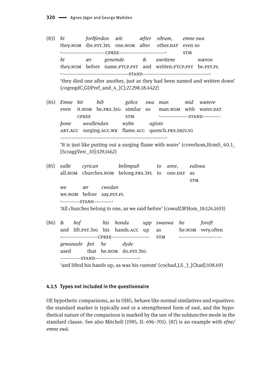| (83) | hi               | forðferdon ælc mæfter oðrum, emne swa<br>they.NOM die.PST.3PL one.NOM after other.DAT even so<br>CPREE |                                                                                                                                                  |                                                    | <b>STM</b>       |                                                                                |
|------|------------------|--------------------------------------------------------------------------------------------------------|--------------------------------------------------------------------------------------------------------------------------------------------------|----------------------------------------------------|------------------|--------------------------------------------------------------------------------|
|      | hi               | ær<br>they.NOM before name.PTCP.PST and written.PTCP.PST be.PST.PL                                     | genemde & awritene                                                                                                                               |                                                    |                  | wæron                                                                          |
|      |                  | (cogregdC,GDPref_and_4_[C]:27.298.18.4422)                                                             |                                                                                                                                                  | <u> 1989 - Johann John Harry Hermann (f. 1989)</u> |                  | 'they died one after another, just as they had been named and written down'    |
| (84) | Emne hit<br>even | bið<br>it. NOM be. PRS. 3SG similar so<br><b>CPREE</b>                                                 | <b>STM</b>                                                                                                                                       | gelice swa man                                     |                  | mid wætere<br>man.NOM with water.DAT<br>STAND                                  |
|      |                  | pone weallendan wylm agiote<br>ART.ACC surging.ACC.WK flame.ACC quench.PRS.SBJV.SG                     |                                                                                                                                                  |                                                    |                  |                                                                                |
|      |                  | [ScraggVerc_10]:129.1462)                                                                              |                                                                                                                                                  |                                                    |                  | 'It is just like putting out a surging flame with water' (coverhom, HomS_40.3_ |
| (85) | ealle<br>all.nom | cyrican belimpað to<br>churches.NOM belong.PRS.3PL to                                                  |                                                                                                                                                  | anre,<br>one.DAT                                   | as<br><b>STM</b> | ealswa                                                                         |
|      | we               | cwedan<br>ær<br>we.NOM before say.PST.PL<br>STAND                                                      |                                                                                                                                                  |                                                    |                  |                                                                                |
|      |                  |                                                                                                        |                                                                                                                                                  |                                                    |                  | 'All churches belong to one, as we said before' (cowulf, WHom_18:124.1493)     |
| (86) | $\&$             | hof his honda<br>and lift.PST.3sG his hands.ACC up<br>CPREE                                            |                                                                                                                                                  | upp swaswa he<br>as<br><b>STM</b>                  |                  | foroft<br>he.NOM very.often                                                    |
|      | used             | gewunade bet he dyde<br>$-STAND-$                                                                      | that he.NOM do.PST.3SG<br><u> La Carlo Carlo Carlo Carlo Carlo Carlo Carlo Carlo Carlo Carlo Carlo Carlo Carlo Carlo Carlo Carlo Carlo Carlo</u> |                                                    |                  |                                                                                |
|      |                  | 'and lifted his hands up, as was his custom' (cochad, LS_3_[Chad]:108.69)                              |                                                                                                                                                  |                                                    |                  |                                                                                |

#### 4.1.5 Types not included in the questionnaire

OE hypothetic comparisons, as in OHG, behave like normal similatives and equatives: the standard marker is typically swa or a strengthened form of swa, and the hypothetical nature of the comparison is marked by the use of the subjunctive mode in the standard clause. See also Mitchell (1985, II: 696-701). (87) is an example with efne/ emne swā.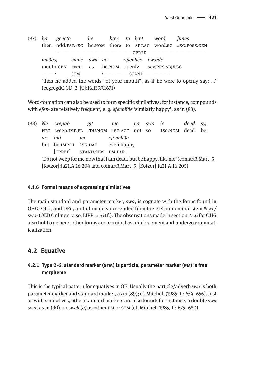$(87)$  ba he to bæt word bines geecte bær then add.pst.3sg he.NOM there to ART.SG word.SG 2SG.POSS.GEN CPREEmuðes. emne swa he openlice cwæde mouth.GEN even as he.NOM openly say.PRS.SBJV.SG  $\mathcal{L}_{\mathcal{A}}$ **STM**  $-STAND-$ 'then he added the words "of your mouth", as if he were to openly say: ...'  $(cogregdC, GD 2 [C]:16.139.7.1671)$ 

Word-formation can also be used to form specific similatives: for instance, compounds with efen- are relatively frequent, e.g. efenblide 'similarly happy', as in (88).

 $(88)$  Ne git wepað me  $na$ swa  $ic$ dead  $SV<sub>2</sub>$ NEG Weep.IMP.PL 2DU.NOM 1SG.ACC not so 1sG.NOM dead be  $ac$ bið me efenbliðe but be.IMP.PL 1SG.DAT even.happy [CPREE] STAND.STM PM.PAR 'Do not weep for me now that I am dead, but be happy, like me' (comart3, Mart 5 [Kotzor]:Ja21,A.16.204 and comart3,Mart 5 [Kotzor]:Ja21,A.16.205)

#### 4.1.6 Formal means of expressing similatives

The main standard and parameter marker,  $sw\bar{a}$ , is cognate with the forms found in OHG, OLG, and OFri, and ultimately descended from the PIE pronominal stem \*swe/ swo- (OED Online s.v. so, LIPP 2: 763f.). The observations made in section 2.1.6 for OHG also hold true here: other forms are recruited as reinforcement and undergo grammaticalization.

# 4.2 Equative

# 4.2.1 Type 2-6: standard marker (STM) is particle, parameter marker (PM) is free morpheme

This is the typical pattern for equatives in OE. Usually the particle/adverb swā is both parameter marker and standard marker, as in (89); cf. Mitchell (1985, II: 654–656). Just as with similatives, other standard markers are also found: for instance, a double swa swā, as in (90), or swelc(e) as either PM or STM (cf. Mitchell 1985, II: 675-680).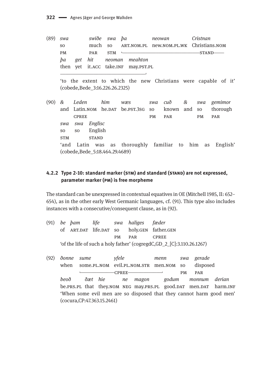$(89)$  swa swiðe swa ba neowan Cristnan ART.NOM.PL new.NOM.PL.WK Christians.NOM S<sub>O</sub> much <sub>SO</sub> **PM** PAR **STM**  $-STAND$  $\mathbf{L}$ ba get hit neoman meahton then yet it.ACC take.INF may.PST.PL

'to the extent to which the new Christians were capable of it' (cobede, Bede 3:16.226.26.2325)

 $(90)$  & Leden him wæs  $swa$  $cu\delta$  $\mathcal{R}_{r}$  $swa$ gemimor and Latin.NOM he.DAT be.PST.3SG so thorough known and so **CPREE PM** PAR PAR **PM** swa swa Englisc English SO. S<sub>O</sub> **STAND STM** 'and Latin was as thoroughly familiar to him  $as$ English' (cobede, Bede 5:18.464.29.4689)

#### 4.2.2 Type 2-10: standard marker (STM) and standard (STAND) are not expressed, parameter marker (PM) is free morpheme

The standard can be unexpressed in contextual equatives in OE (Mitchell 1985, II: 652– 654), as in the other early West Germanic languages, cf. (91). This type also includes instances with a consecutive/consequent clause, as in (92).

- $(91)$ be bam life swa haliges fæder of ART.DAT life.DAT SO holy.GEN father.GEN **PM** PAR **CPREE** 'of the life of such a holy father' (cogregdC,GD\_2\_[C]:3.110.26.1267)
- (92) *donne* yfele gerade sume menn swa when some.PL.NOM evil.PL.NOM.STR men.NOM so disposed  $-CPREE-$ **PM** PAR beoð ðæt hie ne magon godum monnum derian be.PRS.PL that they.NOM NEG may.PRS.PL good.DAT men.DAT harm.INF 'When some evil men are so disposed that they cannot harm good men' (cocura, CP: 47.363.15.2461)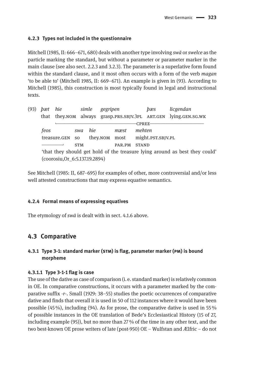#### **4.2.3 Types not included in the questionnaire**

Mitchell (1985, II: 666–671, 680) deals with another type involving *swā* or *swelce* as the particle marking the standard, but without a parameter or parameter marker in the main clause (see also sect. 2.2.3 and 3.2.3). The parameter is a superlative form found within the standard clause, and it most often occurs with a form of the verb *magan*  'to be able to' (Mitchell 1985, II: 669–671). An example is given in (93). According to Mitchell (1985), this construction is most typically found in legal and instructional texts.

| (93) | bæt                                                                         | hie                            | simle      | gegripen      |        |              | bæs               | licgendan                                                  |
|------|-----------------------------------------------------------------------------|--------------------------------|------------|---------------|--------|--------------|-------------------|------------------------------------------------------------|
|      | that                                                                        |                                |            |               |        |              |                   | they.NOM always grasp.PRS.SBJV.3PL ART.GEN lying.GEN.SG.WK |
|      |                                                                             |                                |            |               |        | CPREE-       |                   |                                                            |
|      | feos                                                                        |                                | swa        | hie           | mæst   | mehten       |                   |                                                            |
|      |                                                                             | treasure.GEN SO                |            | they.NOM most |        |              | might.PST.SBJV.PL |                                                            |
|      |                                                                             |                                | <b>STM</b> |               | PAR.PM | <b>STAND</b> |                   |                                                            |
|      | 'that they should get hold of the treasure lying around as best they could' |                                |            |               |        |              |                   |                                                            |
|      |                                                                             | (coorosiu, Or_6:5.137.19.2894) |            |               |        |              |                   |                                                            |

See Mitchell (1985: II, 687–695) for examples of other, more controversial and/or less well attested constructions that may express equative semantics.

#### **4.2.4 Formal means of expressing equatives**

The etymology of *swā* is dealt with in sect. 4.1.6 above.

# **4.3 Comparative**

## **4.3.1 Type 3-1: standard marker (stm) is flag, parameter marker (pm) is bound morpheme**

#### **4.3.1.1 Type 3-1-1 flag is case**

The use of the dative as case of comparison (i. e. standard marker) is relatively common in OE. In comparative constructions, it occurs with a parameter marked by the comparative suffix -*r*-. Small (1929: 38–55) studies the poetic occurrences of comparative dative and finds that overall it is used in 50 of 112 instances where it would have been possible (45 %), including (94). As for prose, the comparative dative is used in 55 % of possible instances in the OE translation of Bede's Ecclesiastical History (15 of 27, including example (95)), but no more than 27 % of the time in any other text, and the two best-known OE prose writers of late (post-950) OE – Wulfstan and Ælfric – do not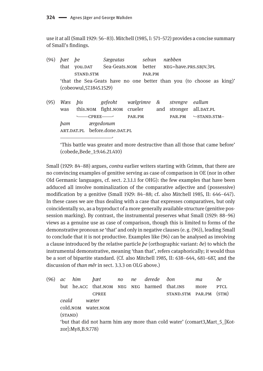use it at all (Small 1929: 56–83). Mitchell (1985, I: 571–572) provides a concise summary of Small's findings.

- (94) *þæt þe Sægeatas selran næbben* that you.DAT Sea-Geats.nom better NEG=have.PRS.SBJV.3PL stand.stm par.pm 'that the Sea-Geats have no one better than you (to choose as king)' (cobeowul,57.1845.1529)
- (95) *Wæs þis gefeoht wælgrimre & strengre eallum*  was this.nom fight.nom crueler and stronger all.DAT.PL —CPREE——→ PAR.PM PAR.PM ←STAND.STM *þam ærgedonum* ART.DAT.PL before.done.DAT.PL  $\overline{\phantom{a}}$  , and the set of the set of the set of the set of the set of the set of the set of the set of the set of the set of the set of the set of the set of the set of the set of the set of the set of the set of the s

'This battle was greater and more destructive than all those that came before' (cobede,Bede\_1:9.46.21.410)

Small (1929: 84–88) argues, *contra* earlier writers starting with Grimm, that there are no convincing examples of genitive serving as case of comparison in OE (nor in other Old Germanic languages, cf. sect. 2.3.1.1 for OHG): the few examples that have been adduced all involve nominalization of the comparative adjective and (possessive) modification by a genitive (Small 1929: 84–88; cf. also Mitchell 1985, II: 646–647). In these cases we are thus dealing with a case that expresses comparatives, but only coincidentally so, as a byproduct of a more generally available structure (genitive possession marking). By contrast, the instrumental preserves what Small (1929: 88–96) views as a genuine use as case of comparison, though this is limited to forms of the demonstrative pronoun *se* 'that' and only in negative clauses (e. g. (96)), leading Small to conclude that it is not productive. Examples like (96) can be analysed as involving a clause introduced by the relative particle *þe* (orthographic variant: *ðe*) to which the instrumental demonstrative, meaning 'than that', refers cataphorically; it would thus be a sort of bipartite standard. (Cf. also Mitchell 1985, II: 638–644, 681–687, and the discussion of *than mêr* in sect. 3.3.3 on OLG above.)

(96) *ac him þæt no ne derede ðon ma ðe* but he.acc that.nom neg neg harmed that.ins more ptcl CPREE STAND.STM PAR.PM (STM) *ceald wæter* cold.nom water.nom (stand) 'but that did not harm him any more than cold water' (comart3,Mart\_5\_[Kotzor]:My8,B.9.778)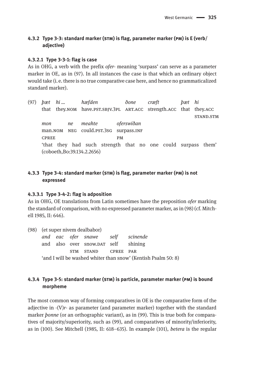# **4.3.2 Type 3-3: standard marker (stm) is flag, parameter marker (pm) is E (verb/ adjective)**

#### **4.3.2.1 Type 3-3-1: flag is case**

As in OHG, a verb with the prefix *ofer*- meaning 'surpass' can serve as a parameter marker in OE, as in (97). In all instances the case is that which an ordinary object would take (i. e. there is no true comparative case here, and hence no grammaticalized standard marker).

(97) *þæt hi … hæfden ðone cræft þæt hi* that they.nom have.pst.sbjv.3pl art.acc strength.acc that they.acc stand.stm *mon ne meahte oferswiðan* man.nom NEG could.pst.3sG surpass.INF CPREE PM 'that they had such strength that no one could surpass them' (coboeth,Bo:39.134.2.2656)

#### **4.3.3 Type 3-4: standard marker (stm) is flag, parameter marker (pm) is not expressed**

#### **4.3.3.1 Type 3-4-2: flag is adposition**

As in OHG, OE translations from Latin sometimes have the preposition *ofer* marking the standard of comparison, with no expressed parameter marker, as in (98) (cf. Mitchell 1985, II: 646).

(98) (et super nivem dealbabor) *and eac ofer snawe self scinende* and also over snow.DAT self shining stm stand cpree par 'and I will be washed whiter than snow' (Kentish Psalm 50: 8)

# **4.3.4 Type 3-5: standard marker (stm) is particle, parameter marker (pm) is bound morpheme**

The most common way of forming comparatives in OE is the comparative form of the adjective in -(V)*r*- as parameter (and parameter marker) together with the standard marker *þonne* (or an orthographic variant), as in (99). This is true both for comparatives of majority/superiority, such as (99), and comparatives of minority/inferiority, as in (100). See Mitchell (1985, II: 618–635). In example (101), *betera* is the regular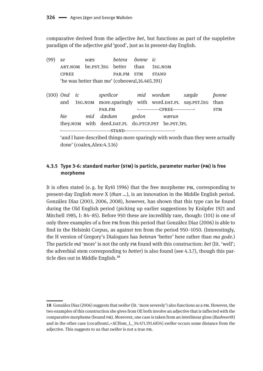comparative derived from the adjective *bet*, but functions as part of the suppletive paradigm of the adjective *gōd* 'good', just as in present-day English.

(99) *se wæs betera ðonne ic* art.nom be.pst.3sg better than 1sg.nom cpree par.pm stm stand 'he was better than me' (cobeowul,16.465.391) (100) *Ond ic sperlicor mid wordum sægde þonne* and 1sg.nom more.sparingly with word.DAT.PL say.PST.1sg than par.pm ˻\_\_\_\_\_\_\_\_cpree\_\_\_\_\_\_\_\_˼ stm *hie mid dædum gedon wærun* they.nom with deed.pat.pl do.ptcp.pst be.pst.3pl  $STAND$ 

'and I have described things more sparingly with words than they were actually done' (coalex,Alex:4.3.16)

# **4.3.5 Type 3-6: standard marker (stm) is particle, parameter marker (pm) is free morpheme**

It is often stated (e. g. by Kytö 1996) that the free morpheme pm, corresponding to present-day English *more* X (*than …*), is an innovation in the Middle English period. González Díaz (2003, 2006, 2008), however, has shown that this type can be found during the Old English period (picking up earlier suggestions by Knüpfer 1921 and Mitchell 1985, I: 84–85). Before 950 these are incredibly rare, though: (101) is one of only three examples of a free pm from this period that González Díaz (2006) is able to find in the Helsinki Corpus, as against ten from the period 950–1050. (Interestingly, the H version of Gregory's Dialogues has *beteran* 'better' here rather than *ma gode.*) The particle *mā* 'more' is not the only pm found with this construction: *bet* (lit. 'well'; the adverbial stem corresponding to *better*) is also found (see 4.3.7), though this particle dies out in Middle English.<sup>18</sup>

**<sup>18</sup>** González Díaz (2006) suggests that *swīðor* (lit. 'more severely') also functions as a pm. However, the two examples of this construction she gives from OE both involve an adjective that is inflected with the comparative morpheme (bound pm). Moreover, one case is taken from an interlinear gloss (*Rushworth*) and in the other case (cocathom1,+ACHom\_I,\_34:471.191.6834) *swīðor* occurs some distance from the adjective. This suggests to us that *swīðor* is not a true pm.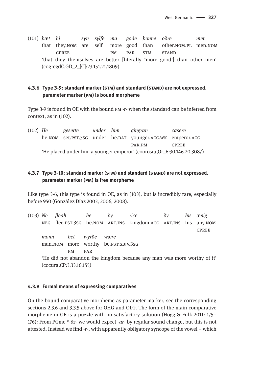(101) *þæt hi syn sylfe ma gode þonne oðre men* that they.nom are self more good than other.nom.pl men.nom CPREE PM PAR STM STAND 'that they themselves are better [literally 'more good'] than other men' (cogregdC,GD\_2\_[C]:23.151.21.1809)

#### **4.3.6 Type 3-9: standard marker (stm) and standard (stand) are not expressed, parameter marker (pm) is bound morpheme**

Type 3-9 is found in OE with the bound pm -*r*- when the standard can be inferred from context, as in (102).

(102) *He gesette under him gingran casere* he.nom set.pst.3sg under he.par younger.acc.wk emperor.acc par.pm cpree 'He placed under him a younger emperor' (coorosiu,Or\_6:30.146.20.3087)

#### **4.3.7 Type 3-10: standard marker (stm) and standard (stand) are not expressed, parameter marker (pm) is free morpheme**

Like type 3-6, this type is found in OE, as in (103), but is incredibly rare, especially before 950 (González Díaz 2003, 2006, 2008).

(103) *Ne fleah he ðy rice ðy his ænig*  neg flee.pst.3sg he.nom art.ins kingdom.acc art.ins his any.nom **CPREE** *monn bet wyrðe wære* man.nom more worthy be.pst.sBJV.3sG pm par 'He did not abandon the kingdom because any man was more worthy of it' (cocura,CP:3.33.16.155)

#### **4.3.8 Formal means of expressing comparatives**

On the bound comparative morpheme as parameter marker, see the corresponding sections 2.3.6 and 3.3.5 above for OHG and OLG. The form of the main comparative morpheme in OE is a puzzle with no satisfactory solution (Hogg & Fulk 2011: 175– 176): From PGmc \*-*ōz*- we would expect -*ar*- by regular sound change, but this is not attested. Instead we find -*r*-, with apparently obligatory syncope of the vowel – which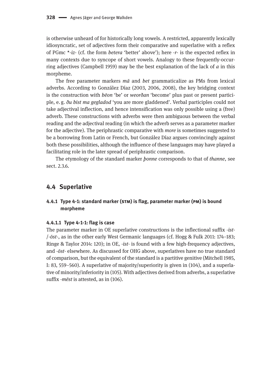is otherwise unheard of for historically long vowels. A restricted, apparently lexically idiosyncratic, set of adjectives form their comparative and superlative with a reflex of PGmc \*-*iz*- (cf. the form *betera* 'better' above'); here -*r*- is the expected reflex in many contexts due to syncope of short vowels. Analogy to these frequently-occurring adjectives (Campbell 1959) may be the best explanation of the lack of *a* in this morpheme.

The free parameter markers *mā* and *bet* grammaticalize as PMs from lexical adverbs. According to González Díaz (2003, 2006, 2008), the key bridging context is the construction with *bēon* 'be' or *weorðan* 'become' plus past or present participle, e. g. *ðu bist ma gegladod* 'you are more gladdened'. Verbal participles could not take adjectival inflection, and hence intensification was only possible using a (free) adverb. These constructions with adverbs were then ambiguous between the verbal reading and the adjectival reading (in which the adverb serves as a parameter marker for the adjective). The periphrastic comparative with *more* is sometimes suggested to be a borrowing from Latin or French, but González Díaz argues convincingly against both these possibilities, although the influence of these languages may have played a facilitating role in the later spread of periphrastic comparison.

The etymology of the standard marker *þonne* corresponds to that of *thanne*, see sect. 2.3.6.

## **4.4 Superlative**

#### **4.4.1 Type 4-1: standard marker (stm) is flag, parameter marker (pm) is bound morpheme**

#### **4.4.1.1 Type 4-1-1: flag is case**

The parameter marker in OE superlative constructions is the inflectional suffix -*ist*- /-*ōst*-, as in the other early West Germanic languages (cf. Hogg & Fulk 2011: 174–183; Ringe & Taylor 2014: 120); in OE, -*ist*- is found with a few high-frequency adjectives, and -*ōst*- elsewhere. As discussed for OHG above, superlatives have no true standard of comparison, but the equivalent of the standard is a partitive genitive (Mitchell 1985, I: 83, 559–560). A superlative of majority/superiority is given in (104), and a superlative of minority/inferiority in (105). With adjectives derived from adverbs, a superlative suffix -*mēst* is attested, as in (106).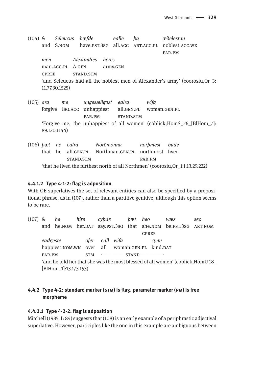- (104) *& Seleucus hæfde ealle þa æðelestan*  and S.nom have.pst.3sg all.acc art.acc.pl noblest.acc.wk par.pm *men Alexandres heres* man.acc.pl A.gen army.gen cpree stand.stm 'and Seleucus had all the noblest men of Alexander's army' (coorosiu,Or\_3: 11.77.30.1525)
- (105) *ara me ungesæligost ealra wifa* forgive 1sg.acc unhappiest all.gen.pl woman.gen.pl PAR.PM STAND.STM 'Forgive me, the unhappiest of all women' (coblick,HomS\_26\_[BlHom\_7]: 89.120.1144)
- (106) *þæt he ealra Norðmonna norþmest bude* that he all.gen.pl Northman.gen.pl northmost lived stand.stm par.pm 'that he lived the furthest north of all Northmen' (coorosiu,Or\_1:1.13.29.222)

#### **4.4.1.2 Type 4-1-2: flag is adposition**

With OE superlatives the set of relevant entities can also be specified by a prepositional phrase, as in (107), rather than a partitive genitive, although this option seems to be rare.

(107) *& he hire cyþde þæt heo wæs seo* and he.nom her.dat say.pst.3sg that she.nom be.pst.3sg ART.NOM **CPREE** *eadgeste ofer eall wifa cynn* happiest.nom.wk over all woman.GEN.PL kind.DAT PAR.PM STM  $S T M$  STM STAND 'and he told her that she was the most blessed of all women' (coblick,HomU 18\_ [BlHom\_1]:13.173.153)

# **4.4.2 Type 4-2: standard marker (stm) is flag, parameter marker (pm) is free morpheme**

#### **4.4.2.1 Type 4-2-2: flag is adposition**

Mitchell (1985, I: 84) suggests that (108) is an early example of a periphrastic adjectival superlative. However, participles like the one in this example are ambiguous between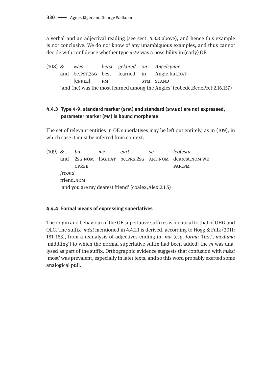a verbal and an adjectival reading (see sect. 4.3.8 above), and hence this example is not conclusive. We do not know of any unambiguous examples, and thus cannot decide with confidence whether type 4-2-2 was a possibility in (early) OE.

(108) *& wæs betst gelæred on Angelcynne* and be.pst.3sg best learned in Angle.kin.DAT [CPREE] PM STM STAND 'and (he) was the most learned among the Angles' (cobede,BedePref:2.16.157)

# **4.4.3 Type 4-9: standard marker (stm) and standard (stand) are not expressed, parameter marker (pm) is bound morpheme**

The set of relevant entities in OE superlatives may be left out entirely, as in (109), in which case it must be inferred from context.

(109) *& … þu me eart se leofesta* and 2sg.nom 1sg.dat be.prs.2sg ART.nom dearest.nom.wk CPREE PAR.PM *freond* friend.nom 'and you are my dearest friend' (coalex,Alex:2.1.5)

#### **4.4.4 Formal means of expressing superlatives**

The origin and behaviour of the OE superlative suffixes is identical to that of OHG and OLG. The suffix -*mēst* mentioned in 4.4.1.1 is derived, according to Hogg & Fulk (2011: 181–183), from a reanalysis of adjectives ending in *-ma* (e.  g. *forma* 'first', *meduma* 'middling') to which the normal superlative suffix had been added: the *m* was analysed as part of the suffix. Orthographic evidence suggests that confusion with *mǣst* 'most' was prevalent, especially in later texts, and so this word probably exerted some analogical pull.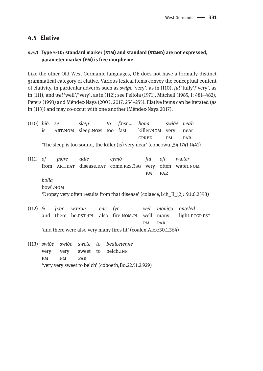# **4.5 Elative**

# **4.5.1 Type 5-10: standard marker (stm) and standard (stand) are not expressed, parameter marker (pm) is free morpheme**

Like the other Old West Germanic languages, OE does not have a formally distinct grammatical category of elative. Various lexical items convey the conceptual content of elativity, in particular adverbs such as *swīþe* 'very', as in (110), *ful* 'fully'/'very', as in (111), and *wel* 'well'/'very', as in (112); see Peltola (1971), Mitchell (1985, I: 481–482), Peters (1993) and Méndez-Naya (2003; 2017: 254–255). Elative items can be iterated (as in (113)) and may co-occur with one another (Méndez-Naya 2017).

(110) *bið se slæp to fæst … bona swiðe neah* is art.nom sleep.nom too fast killer.nom very near cpree pm par 'The sleep is too sound, the killer (is) very near' (cobeowul,54.1741.1441) (111) *of þære adle cymð ful oft wæter*  from ART.DAT disease.DAT come.PRS.3sG very often water.NOM pm par *bolla* bowl.nom 'Dropsy very often results from that disease' (colaece,Lch\_II\_[2]:19.1.6.2398)

- (112) *& þær wæron eac fyr wel monigo onæled* and there be.PST.3PL also fire.NOM.PL well many light.PTCP.PST pm par 'and there were also very many fires lit' (coalex,Alex:30.1.364)
- (113) *swiðe swiðe swete to bealcetenne* very very sweet to belch.INF pm pm par 'very very sweet to belch' (coboeth,Bo:22.51.2.929)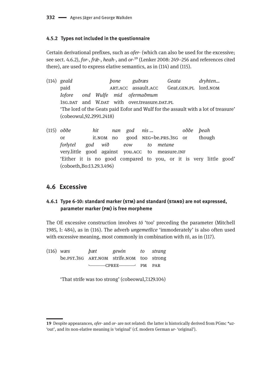#### **4.5.2 Types not included in the questionnaire**

Certain derivational prefixes, such as *ofer*- (which can also be used for the excessive; see sect. 4.6.2), *for-*, *fr* $\bar{x}$ -, *heah*-, and *or*-<sup>19</sup> (Lenker 2008: 249–256 and references cited there), are used to express elative semantics, as in (114) and (115).

- (114) *geald þone guðræs Geata dryhten…* paid art.acc assault.acc Geat.gen.pl lord.nom *Iofore ond Wulfe mid ofermaðmum* 1sg.par and W.par with over.treasure.par.pl. 'The lord of the Geats paid Eofor and Wulf for the assault with a lot of treasure' (cobeowul,92.2991.2418)
- (115) *oððe hit nan god nis … oððe þeah*  or it.nom no good neg=be.prs.3sg or though *forlytel god wið eow to metane* very.little good against you.acc to measure.inf 'Either it is no good compared to you, or it is very little good' (coboeth,Bo:13.29.3.496)

# **4.6 Excessive**

## **4.6.1 Type 6-10: standard marker (stm) and standard (stand) are not expressed, parameter marker (pm) is free morpheme**

The OE excessive construction involves *tō* 'too' preceding the parameter (Mitchell 1985, I: 484), as in (116). The adverb *ungemetlīce* 'immoderately' is also often used with excessive meaning, most commonly in combination with *tō*, as in (117).

(116) *wæs þæt gewin to strang* be.pst.3sg art.nom strife.nom too strong  $\longleftarrow$  CPREE $\longleftarrow$  PM PAR

'That strife was too strong' (cobeowul,7.129.104)

**<sup>19</sup>** Despite appearances, *ofer-* and *or-* are not related: the latter is historically derived from PGmc \**uz*- 'out', and its non-elative meaning is 'original' (cf. modern German *ur*- 'original').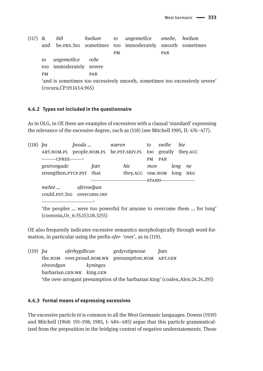$(117)$  & hið hwilum  $to$ ungemetlice smeðe, hwilum be.prs.3sG sometimes immoderately smooth sometimes and too **PM** PAR ungemetlice reðe  $t_0$ too immoderately severe **PM** PAR 'and is sometimes too excessively smooth, sometimes too excessively severe' (cocura, CP: 19.143.4.965)

#### 4.6.2 Types not included in the questionnaire

As in OLG, in OE there are examples of excessives with a clausal 'standard' expressing the relevance of the excessive degree, such as (118) (see Mitchell 1985, II: 476-477).

| $(118)$ ba |                                          | beoda |     | wæren                                                        | to           | swiðe | hie  |    |
|------------|------------------------------------------|-------|-----|--------------------------------------------------------------|--------------|-------|------|----|
|            |                                          |       |     | ART.NOM.PL people.NOM.PL be.PST.SBJV.PL too greatly they.ACC |              |       |      |    |
|            | $\longleftarrow$ CPREE— $\longleftarrow$ |       |     |                                                              | PM           | PAR   |      |    |
|            | gestrongade                              |       | bæt | hie                                                          | mon          |       | leng | ne |
|            | strengthen.PTCP.PST that                 |       |     | they.ACC one.NOM long NEG                                    |              |       |      |    |
|            |                                          |       |     |                                                              | <b>STAND</b> |       |      |    |
|            | mehte<br>oferswipan                      |       |     |                                                              |              |       |      |    |

could.psT.3sG overcome.INF

'the peoples ... were too powerful for anyone to overcome them ... for long' (coorosiu, Or\_6:35.153.18.3255)

OE also frequently indicates excessive semantics morphologically through word-formation, in particular using the prefix ofer-'over', as in (119).

| $(119)$ ba |  | oferhygdlican                           |  | gedyrstignesse                                    | bæs                                                                             |
|------------|--|-----------------------------------------|--|---------------------------------------------------|---------------------------------------------------------------------------------|
|            |  | elreordgan<br>barbarian.GEN.WK king.GEN |  | the.NOM over.proud.NOM.WK presumption.NOM ART.GEN |                                                                                 |
|            |  |                                         |  |                                                   |                                                                                 |
|            |  |                                         |  |                                                   |                                                                                 |
|            |  |                                         |  |                                                   | 'the over-arrogant presumption of the barbarian king' (coalex, Alex: 24.24.293) |

#### 4.6.3 Formal means of expressing excessives

The excessive particle *t* $\bar{o}$  is common to all the West Germanic languages. Downs (1939) and Mitchell (1968: 191–198; 1985, I:  $484-485$ ) argue that this particle grammaticalized from the preposition in the bridging context of negative understatements. These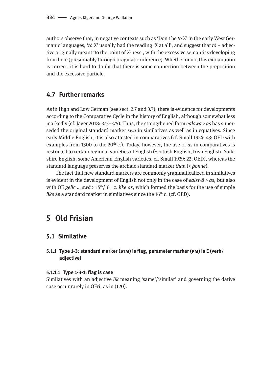authors observe that, in negative contexts such as 'Don't be *to* X' in the early West Germanic languages, '*tō* X' usually had the reading 'X at all', and suggest that  $t\bar{\sigma}$  + adjective originally meant 'to the point of X-ness', with the excessive semantics developing from here (presumably through pragmatic inference). Whether or not this explanation is correct, it is hard to doubt that there is some connection between the preposition and the excessive particle.

# **4.7 Further remarks**

As in High and Low German (see sect. 2.7 and 3.7), there is evidence for developments according to the Comparative Cycle in the history of English, although somewhat less markedly (cf. Jäger 2018: 373–375). Thus, the strengthened form *ealswā* > *as* has superseded the original standard marker *swā* in similatives as well as in equatives. Since early Middle English, it is also attested in comparatives (cf. Small 1924: 43; OED with examples from 1300 to the  $20<sup>th</sup>$  c.). Today, however, the use of *as* in comparatives is restricted to certain regional varieties of English (Scottish English, Irish English, Yorkshire English, some American-English varieties, cf. Small 1929: 22; OED), whereas the standard language preserves the archaic standard marker *than* (< *þonne*).

The fact that new standard markers are commonly grammaticalized in similatives is evident in the development of English not only in the case of *ealswā* > *as*, but also with OE *gelīc* … *swā* > 15th/16th c. *like as*, which formed the basis for the use of simple *like* as a standard marker in similatives since the 16<sup>th</sup> c. (cf. OED).

# **5 Old Frisian**

# **5.1 Similative**

**5.1.1 Type 1-3: standard marker (stm) is flag, parameter marker (pm) is E (verb/ adjective)**

#### **5.1.1.1 Type 1-3-1: flag is case**

Similatives with an adjective *līk* meaning 'same'/'similar' and governing the dative case occur rarely in OFri, as in (120).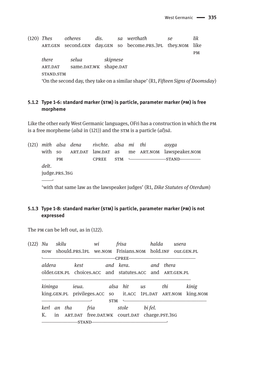$(120)$  Thes otheres dis. sa werthath se  $_{\text{lik}}$ ART.GEN second.GEN day.GEN so become.PRS.3PL they.NOM like  $PM$ there selua skipnese ART.DAT same.DAT.WK shape.DAT STAND.STM 'On the second day, they take on a similar shape' (R1, Fifteen Signs of Doomsday)

# 5.1.2 Type 1-6: standard marker (STM) is particle, parameter marker (PM) is free morpheme

Like the other early West Germanic languages, OFri has a construction in which the PM is a free morpheme ( $als\bar{a}$  in (121)) and the STM is a particle ( $al$ ) $s\bar{a}$ .

 $(121)$  mith alsa dena rivchte, alsa mi thi asyga with so ART.DAT law.DAT as me ART.NOM lawspeaker.NOM  $PM$ CPREE STM - $-$ STAND $$ delt. judge.PRS.3SG **Contract** 'with that same law as the lawspeaker judges' (R1, Dike Statutes of Oterdum)

## 5.1.3 Type 1-8: standard marker (STM) is particle, parameter marker (PM) is not expressed

The PM can be left out, as in (122).

| (122) | skilu<br>Nu   |  | wi<br>should.PRS.1PL We.NOM Frisians.NOM hold.INF |         |                                                          | frisa                                        | halda     |  | usera   |           |            |          |  |
|-------|---------------|--|---------------------------------------------------|---------|----------------------------------------------------------|----------------------------------------------|-----------|--|---------|-----------|------------|----------|--|
|       | now           |  |                                                   |         |                                                          |                                              |           |  |         |           | OUT.GEN.PL |          |  |
|       | <b>CPREE-</b> |  |                                                   |         |                                                          |                                              |           |  |         |           |            |          |  |
|       | aldera        |  |                                                   | kest    |                                                          |                                              | and kera. |  |         | and thera |            |          |  |
|       |               |  |                                                   |         | older.GEN.PL choices.ACC and statutes.ACC and ART.GEN.PL |                                              |           |  |         |           |            |          |  |
|       | kininga       |  |                                                   |         |                                                          |                                              |           |  |         | thi       |            | kinig    |  |
|       |               |  |                                                   |         | king.GEN.PL privileges.ACC so it.ACC 1PL.DAT ART.NOM     |                                              |           |  |         |           |            | king.NOM |  |
|       |               |  |                                                   |         |                                                          | <b>STM</b>                                   |           |  |         |           |            |          |  |
|       | kerl an tha   |  |                                                   |         | fria                                                     |                                              | stole     |  | bi fel. |           |            |          |  |
|       | Κ.<br>in      |  |                                                   |         |                                                          | ART.DAT free.DAT.WK court.DAT charge.PST.3SG |           |  |         |           |            |          |  |
|       |               |  |                                                   | -STAND- |                                                          |                                              |           |  |         |           |            |          |  |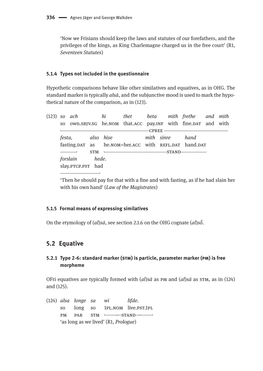'Now we Frisians should keep the laws and statutes of our forefathers, and the privileges of the kings, as King Charlemagne charged us in the free court' (R1, Seventeen Statutes)

#### 5.1.4 Types not included in the questionnaire

Hypothetic comparisons behave like other similatives and equatives, as in OHG. The standard marker is typically alsā, and the subjunctive mood is used to mark the hypothetical nature of the comparison, as in (123).

|  | so own. SBJV.SG he.NOM that.ACC pay.INF with fine.DAT and with |                | (123) so ach bi thet beta mith frethe and mith |  |                                                      |  |  |                 |  |  |
|--|----------------------------------------------------------------|----------------|------------------------------------------------|--|------------------------------------------------------|--|--|-----------------|--|--|
|  |                                                                |                |                                                |  |                                                      |  |  |                 |  |  |
|  |                                                                |                |                                                |  |                                                      |  |  | -CPREE ———————— |  |  |
|  |                                                                |                |                                                |  | festa, also hise mith sinre hand                     |  |  |                 |  |  |
|  |                                                                |                |                                                |  | fasting.DAT as he.NOM=her.ACC with REFL.DAT hand.DAT |  |  |                 |  |  |
|  |                                                                |                |                                                |  | $STM$ $\longleftarrow$ $STAND$                       |  |  |                 |  |  |
|  |                                                                | forslain hede. |                                                |  |                                                      |  |  |                 |  |  |
|  | slay.PTCP.PST had                                              |                |                                                |  |                                                      |  |  |                 |  |  |
|  |                                                                |                |                                                |  |                                                      |  |  |                 |  |  |

'Then he should pay for that with a fine and with fasting, as if he had slain her with his own hand' (Law of the Magistrates)

#### 5.1.5 Formal means of expressing similatives

On the etymology of  $(al)$ sa, see section 2.1.6 on the OHG cognate  $(al)$ so.

# 5.2 Equative

## 5.2.1 Type 2-6: standard marker (STM) is particle, parameter marker (PM) is free morpheme

OFri equatives are typically formed with  $(al)s\bar{a}$  as PM and  $(al)s\bar{a}$  as STM, as in (124) and (125).

(124) alsa longe sa lifde. wi SO<sub>1</sub> long SO 1PL.NOM live.PST.1PL  $STM$   $\longleftarrow$   $STAND$   $\longleftarrow$ PAR **PM** 'as long as we lived' (R1, *Prologue*)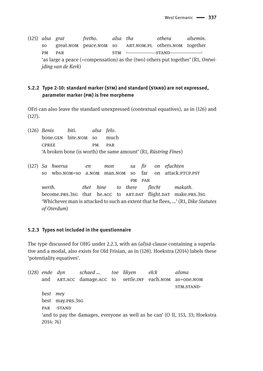(125) *alsa grat fretho. alsa tha othera alsemin.* so great.nom peace.nom so ART.nom.pl others.nom together pm par stm STM  $\sim$  STM STAND 'as large a peace (=compensation) as the (two) others put together' (R1, *Ontwijding van de Kerk*)

#### **5.2.2 Type 2-10: standard marker (stm) and standard (stand) are not expressed, parameter marker (pm) is free morpheme**

OFri can also leave the standard unexpressed (contextual equatives), as in (126) and (127).

- (126) *Benis biti. alsa felo*. bone.gen bite.nom so much cpree pm par 'A broken bone (is worth) the same amount' (R1, *Rüstring Fines*)
- (127) *Sa hwersa en mon sa fir on efuchten* so who.nom=so a.nom man.nom so far on attack.PTCP.PST pm par *werth. thet hine to there flecht makath.* become.prs.3sg that he.ACC to ART.DAT flight.DAT make.prs.3sg 'Whichever man is attacked to such an extent that he flees, …' (R1, *Dike Statutes of Oterdum*)

#### **5.2.3 Types not included in the questionnaire**

The type discussed for OHG under 2.2.3, with an (*al*)*sā*-clause containing a superlative and a modal, also exists for Old Frisian, as in (128). Hoekstra (2014) labels these 'potentiality equatives'.

(128) *ende dyn schaed … toe likyen elck alsma* and ART.ACC damage.ACC to settle.INF each.NOM as=one.NOM stm.stand*best mey* best may.prs.3sg PAR -STAND 'and to pay the damages, everyone as well as he can' (O II, 153, 33; Hoekstra 2014: 76)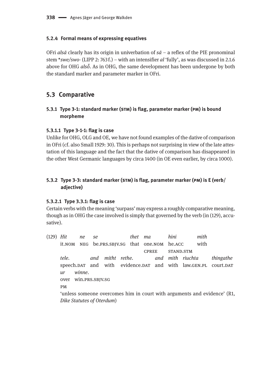#### **5.2.4 Formal means of expressing equatives**

OFri *alsā* clearly has its origin in univerbation of *sā* – a reflex of the PIE pronominal stem \**swe/swo*- (LIPP 2: 763 f.) – with an intensifier *al* 'fully', as was discussed in 2.1.6 above for OHG *alsō̆*. As in OHG, the same development has been undergone by both the standard marker and parameter marker in OFri.

# **5.3 Comparative**

## **5.3.1 Type 3-1: standard marker (stm) is flag, parameter marker (pm) is bound morpheme**

#### **5.3.1.1 Type 3-1-1: flag is case**

Unlike for OHG, OLG and OE, we have not found examples of the dative of comparison in OFri (cf. also Small 1929: 30). This is perhaps not surprising in view of the late attestation of this language and the fact that the dative of comparison has disappeared in the other West Germanic languages by circa 1400 (in OE even earlier, by circa 1000).

# **5.3.2 Type 3-3: standard marker (stm) is flag, parameter marker (pm) is E (verb/ adjective)**

#### **5.3.2.1 Type 3.3.1: flag is case**

Certain verbs with the meaning 'surpass' may express a roughly comparative meaning, though as in OHG the case involved is simply that governed by the verb (in (129), accusative).

(129) *Hit ne se thet ma hini mith* it.nom neg be.prs.sbjv.sg that one.nom he.acc with cpree stand.stm *tele. and mitht rethe. and mith riuchta thingathe* speech.DAT and with evidence.DAT and with law.GEN.PL court.DAT *ur winne*. over win.prs.sbjv.sg pm 'unless someone overcomes him in court with arguments and evidence' (R1, *Dike Statutes of Oterdum*)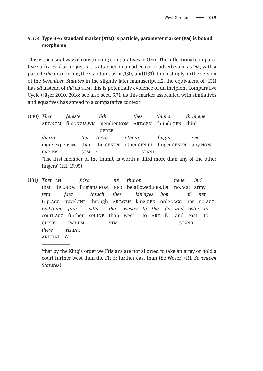# 5.3.3 Type 3-5: standard marker (STM) is particle, parameter marker (PM) is bound morpheme

This is the usual way of constructing comparatives in OFri. The inflectional comparative suffix -er-/-or, or just -r-, is attached to an adjective or adverb stem as PM, with a particle *th* $\bar{a}$  introducing the standard, as in (130) and (131). Interestingly, in the version of the Seventeen Statutes in the slightly later manuscript H2, the equivalent of (131) has sā instead of thā as STM; this is potentially evidence of an incipient Comparative Cycle (Jäger 2010, 2018; see also sect. 5.7), as this marker associated with similatives and equatives has spread to a comparative context.

| $(130)$ Thet                                                               |                                                                             | fereste              |     | lith                                                          |  | thes   | <i>thuma</i> | <i>thrimene</i> |  |
|----------------------------------------------------------------------------|-----------------------------------------------------------------------------|----------------------|-----|---------------------------------------------------------------|--|--------|--------------|-----------------|--|
|                                                                            |                                                                             |                      |     | ART, NOM first, NOM, WK member, NOM ART, GEN thumb, GEN third |  |        |              |                 |  |
|                                                                            |                                                                             |                      |     | CPREE-                                                        |  |        |              |                 |  |
|                                                                            | diurra<br>more.expensive than the.GEN.PL other.GEN.PL finger.GEN.PL any.NOM |                      | tha | thera                                                         |  | othera | fingra       | eng             |  |
|                                                                            |                                                                             |                      |     |                                                               |  |        |              |                 |  |
|                                                                            | PAR.PM                                                                      | <b>STM</b><br>-STAND |     |                                                               |  |        |              |                 |  |
| 'The first member of the thumb is worth a third more than any of the other |                                                                             |                      |     |                                                               |  |        |              |                 |  |
| fingers' (H1, 19.95)                                                       |                                                                             |                      |     |                                                               |  |        |              |                 |  |

 $(131)$  Thet wi frisa thuron hiri ne nene that 1PL.NOM Frisians.NOM NEG be.allowed.PRS.1PL no.ACC army fara thruch thes kininges ferd bon. ni nen trip.ACC travel.INF through ART.GEN king.GEN order.ACC nor no.ACC tha wester to tha fli. and aster to bod thing firor sitta. court.ACC further set.INF than west to ART F. and east  $\overline{f}$ **CPREE** PAR.PM **STM**  $-STAND$ there wisura. ART.DAT W.

<sup>&#</sup>x27;that by the King's order we Frisians are not allowed to take an army or hold a court further west than the Fli or further east than the Weser' (R1, Seventeen Statutes)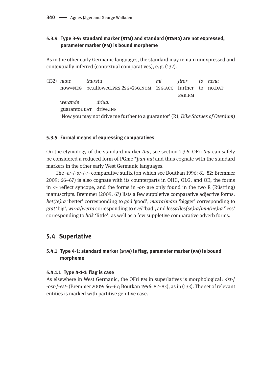# **5.3.4 Type 3-9: standard marker (stm) and standard (stand) are not expressed, parameter marker (pm) is bound morpheme**

As in the other early Germanic languages, the standard may remain unexpressed and contextually inferred (contextual comparatives), e. g. (132).

(132) *nune thurstu mi firor to nena* now=NEG be.allowed.prs.2sg=2sg.nom 1sg.acc further to no.par par.pm *werande driua.* guarantor.DAT drive.INF 'Now you may not drive me further to a guarantor' (R1, *Dike Statues of Oterdum*)

#### **5.3.5 Formal means of expressing comparatives**

On the etymology of the standard marker *thā*, see section 2.3.6. OFri *thā* can safely be considered a reduced form of PGmc \**þan-nai* and thus cognate with the standard markers in the other early West Germanic languages.

The -*er*-/*-or*-/-*r*- comparative suffix (on which see Boutkan 1996: 81–82; Bremmer 2009: 66–67) is also cognate with its counterparts in OHG, OLG, and OE; the forms in -*r*- reflect syncope, and the forms in -*or*- are only found in the two R (Rüstring) manuscripts. Bremmer (2009: 67) lists a few suppletive comparative adjective forms: *bet(te)ra* 'better' corresponding to *gōd* 'good', *marra*/*māra* 'bigger' corresponding to *grāt* 'big', *wirra*/*werra* corresponding to *evel* 'bad', and *lessa*/*les(se)ra*/*min(ne)ra* 'less' corresponding to *lītik* 'little', as well as a few suppletive comparative adverb forms.

# **5.4 Superlative**

## **5.4.1 Type 4-1: standard marker (stm) is flag, parameter marker (pm) is bound morpheme**

#### **5.4.1.1 Type 4-1-1: flag is case**

As elsewhere in West Germanic, the OFri pm in superlatives is morphological: -*ist*-/ -*ost*-/-*est*- (Bremmer 2009: 66–67; Boutkan 1996: 82–83), as in (133). The set of relevant entities is marked with partitive genitive case.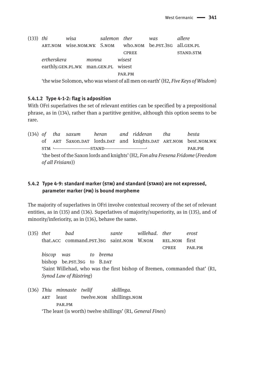(133) *thi wisa salemon ther was allere* art.nom wise.nom.wk S.nom who.nom be.pst.3sg all.gen.pl CPREE STAND.STM *ertherskera monna wisest* earthly.gen.pl.wk man.gen.pl wisest par.pm 'the wise Solomon, who was wisest of all men on earth' (H2, *Five Keys of Wisdom*)

#### **5.4.1.2 Type 4-1-2: flag is adposition**

With OFri superlatives the set of relevant entities can be specified by a prepositional phrase, as in (134), rather than a partitive genitive, although this option seems to be rare.

(134) *of tha saxum heran and ridderan tha besta* of ART Saxon.DAT lords.DAT and knights.DAT ART.NOM best.NOM.WK  $STM \longleftarrow STAND$  par.pm 'the best of the Saxon lords and knights' (H2, *Fon alra Fresena Fridome* (*Freedom of all Frisians*))

## **5.4.2 Type 4-9: standard marker (stm) and standard (stand) are not expressed, parameter marker (pm) is bound morpheme**

The majority of superlatives in OFri involve contextual recovery of the set of relevant entities, as in (135) and (136). Superlatives of majority/superiority, as in (135), and of minority/inferiority, as in (136), behave the same.

| $(135)$ thet |                                                                           | bad                        |                                          |          | sante | willehad, ther |              | erost  |  |  |  |  |
|--------------|---------------------------------------------------------------------------|----------------------------|------------------------------------------|----------|-------|----------------|--------------|--------|--|--|--|--|
|              |                                                                           |                            | that.ACC command.PST.3sG saint.NOM W.NOM |          |       |                | REL.NOM      | first  |  |  |  |  |
|              |                                                                           |                            |                                          |          |       |                | <b>CPREE</b> | PAR.PM |  |  |  |  |
|              | biscop was                                                                |                            |                                          | to brema |       |                |              |        |  |  |  |  |
|              |                                                                           | bishop be.PST.3SG to B.DAT |                                          |          |       |                |              |        |  |  |  |  |
|              | 'Saint Willehad, who was the first bishop of Bremen, commanded that' (R1, |                            |                                          |          |       |                |              |        |  |  |  |  |
|              |                                                                           | Synod Law of Rüstring)     |                                          |          |       |                |              |        |  |  |  |  |
|              |                                                                           |                            |                                          |          |       |                |              |        |  |  |  |  |

(136) *Thiu minnaste twilif skillinga.* art least twelve.nom shillings.nom par.pm 'The least (is worth) twelve shillings' (R1, *General Fines*)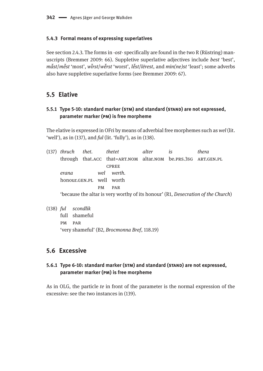#### **5.4.3 Formal means of expressing superlatives**

See section 2.4.3. The forms in -*ost*- specifically are found in the two R (Rüstring) manuscripts (Bremmer 2009: 66). Suppletive superlative adjectives include *best* 'best', măst/mĕst 'most', wĭrst/wĕrst 'worst', lĕst/lērest, and min(ne)st 'least'; some adverbs also have suppletive superlative forms (see Bremmer 2009: 67).

# **5.5 Elative**

#### **5.5.1 Type 5-10: standard marker (stm) and standard (stand) are not expressed, parameter marker (pm) is free morpheme**

The elative is expressed in OFri by means of adverbial free morphemes such as *wel* (lit. 'well'), as in (137), and *ful* (lit. 'fully'), as in (138).

(137) *thruch thet. thetet alter is thera* through that.ACC that=ART.NOM altar.NOM be.PRS.3SG ART.GEN.PL **CPREE** *erana wel werth.* honour.gen.pl well worth pm par 'because the altar is very worthy of its honour' (R1, *Desecration of the Church*)

#### (138) *ful scondlik*

full shameful pm par 'very shameful' (B2, *Brocmonna Bref*, 118.19)

# **5.6 Excessive**

## **5.6.1 Type 6-10: standard marker (stm) and standard (stand) are not expressed, parameter marker (pm) is free morpheme**

As in OLG, the particle *te* in front of the parameter is the normal expression of the excessive: see the two instances in (139).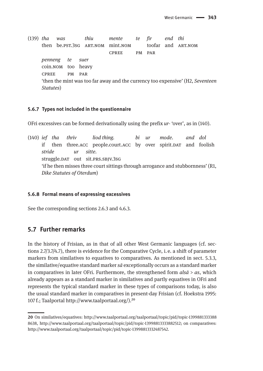(139) *tha was thiu mente te fir end thi* then be.pst.3sg art.nom mint.nom toofar and art.nom cpree pm par *penneng te suer* coin.nom too heavy cpree pm par 'then the mint was too far away and the currency too expensive' (H2, *Seventeen Statutes*)

#### **5.6.7 Types not included in the questionnaire**

OFri excessives can be formed derivationally using the prefix *ur*- 'over', as in (140).

(140) *ief tha thriv liod thing. bi ur mode. and dol* if then three.ACC people.court.ACC by over spirit.DAT and foolish *stride ur sitte.* struggle.DAT out sit.PRS.SBJV.3SG 'if he then misses three court sittings through arrogance and stubbornness' (R1, *Dike Statutes of Oterdum*)

#### **5.6.8 Formal means of expressing excessives**

See the corresponding sections 2.6.3 and 4.6.3.

# **5.7 Further remarks**

In the history of Frisian, as in that of all other West Germanic languages (cf. sections 2.7/3.7/4.7), there is evidence for the Comparative Cycle, i. e. a shift of parameter markers from similatives to equatives to comparatives. As mentioned in sect. 5.3.3, the similative/equative standard marker *sā* exceptionally occurs as a standard marker in comparatives in later OFri. Furthermore, the strengthened form  $als\bar{a} > as$ , which already appears as a standard marker in similatives and partly equatives in OFri and represents the typical standard marker in these types of comparisons today, is also the usual standard marker in comparatives in present-day Frisian (cf. Hoekstra 1995: 107 f.; Taalportal <http://www.taalportaal.org>/).<sup>20</sup>

**<sup>20</sup>** On similatives/equatives: [http://www.taalportaal.org/taalportaal/topic/pid/topic-1399881333388](http://www.taalportaal.org/taalportaal/topic/pid/topic-13998813333888638) [8638,](http://www.taalportaal.org/taalportaal/topic/pid/topic-13998813333888638) <http://www.taalportaal.org/taalportaal/topic/pid/topic-13998813333882512>; on comparatives: [http://www.taalportaal.org/taalportaal/topic/pid/topic-13998813332487542.](http://www.taalportaal.org/taalportaal/topic/pid/topic-13998813332487542)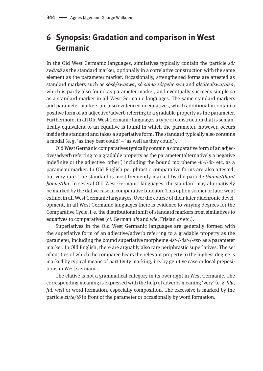# **6 Synopsis: Gradation and comparison in West Germanic**

In the Old West Germanic languages, similatives typically contain the particle *sô/ swā/sā* as the standard marker, optionally in a correlative construction with the same element as the parameter marker. Occasionally, strengthened forms are attested as standard markers such as *sôsô/swāswā*, *sô sama sô/gelīc swā* and *alsô/ealswā/alsā*, which is partly also found as parameter marker, and eventually succeeds simple *so* as a standard marker in all West Germanic languages. The same standard markers and parameter markers are also evidenced in equatives, which additionally contain a positive form of an adjective/adverb referring to a gradable property as the parameter. Furthermore, in all Old West Germanic languages a type of construction that is semantically equivalent to an equative is found in which the parameter, however, occurs inside the standard and takes a superlative form. The standard typically also contains a modal (e.g. 'as they best could' = 'as well as they could').

Old West Germanic comparatives typically contain a comparative form of an adjective/adverb referring to a gradable property as the parameter (alternatively a negative indefinite or the adjective 'other') including the bound morpheme -*ir*-/-*ôr*- etc. as a parameter marker. In Old English periphrastic comparative forms are also attested, but very rare. The standard is most frequently marked by the particle *thanne/than/ þonne/thā*. In several Old West Germanic languages, the standard may alternatively be marked by the dative case in comparative function. This option sooner or later went extinct in all West Germanic languages. Over the course of their later diachronic development, in all West Germanic languages there is evidence to varying degrees for the Comparative Cycle, i. e. the distributional shift of standard markers from similatives to equatives to comparatives (cf. German *als* and *wie*, Frisian *as* etc.).

Superlatives in the Old West Germanic languages are generally formed with the superlative form of an adjective/adverb referring to a gradable property as the parameter, including the bound superlative morpheme -*ist*-/-*ôst*-/-*est*- as a parameter marker. In Old English, there are arguably also rare periphrastic superlatives. The set of entities of which the comparee bears the relevant property to the highest degree is marked by typical means of partitivity marking, i. e. by genitive case or local prepositions in West Germanic.

The elative is not a grammatical category in its own right in West Germanic. The corresponding meaning is expressed with the help of adverbs meaning 'very' (e. g. *filu, ful, wel*) or word formation, especially composition. The excessive is marked by the particle *zi/te/tō* in front of the parameter or occasionally by word formation.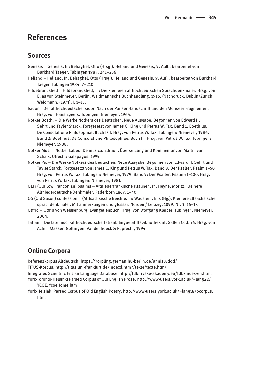# **References**

# **Sources**

- Genesis = Genesis. In: Behaghel, Otto (Hrsg.). Heliand und Genesis, 9. Aufl., bearbeitet von Burkhard Taeger. Tübingen 1984, 241–256.
- Heliand = Heliand. In: Behaghel, Otto (Hrsg.). Heliand und Genesis, 9. Aufl., bearbeitet von Burkhard Taeger. Tübingen 1984, 7–210.
- Hildebrandslied = Hildebrandslied, In: Die kleineren althochdeutschen Sprachdenkmäler. Hrsg. von Elias von Steinmeyer. Berlin: Weidmannsche Buchhandlung, 1916. (Nachdruck: Dublin/Zürich: Weidmann, 3 1971), I, 1–15.
- Isidor = Der althochdeutsche Isidor. Nach der Pariser Handschrift und den Monseer Fragmenten. Hrsg. von Hans Eggers. Tübingen: Niemeyer, 1964.
- Notker Boeth. = Die Werke Notkers des Deutschen. Neue Ausgabe. Begonnen von Edward H. Sehrt und Tayler Starck. Fortgesetzt von James C. King und Petrus W. Tax. Band 1: Boethius, De Consolatione Philosophiæ. Buch I/II. Hrsg. von Petrus W. Tax. Tübingen: Niemeyer, 1986. Band 2: Boethius, De Consolatione Philosophiae. Buch III. Hrsg. von Petrus W. Tax. Tübingen: Niemeyer, 1988.
- Notker Mus. = Notker Labeo: De musica. Edition, Übersetzung und Kommentar von Martin van Schaik. Utrecht: Galapagos, 1995.
- Notker Ps. = Die Werke Notkers des Deutschen. Neue Ausgabe. Begonnen von Edward H. Sehrt und Tayler Starck. Fortgesetzt von James C. King und Petrus W. Tax. Band 8: Der Psalter. Psalm 1–50. Hrsg. von Petrus W. Tax. Tübingen: Niemeyer, 1979. Band 9: Der Psalter. Psalm 51–100. Hrsg. von Petrus W. Tax. Tübingen: Niemeyer, 1981.
- OLFr (Old Low Franconian) psalms = Altniederfränkische Psalmen. In: Heyne, Moritz: Kleinere Altniederdeutsche Denkmäler. Paderborn 1867, 1–40.
- OS (Old Saxon) confession = (Alt)sächsische Beichte. In: Wadstein, Elis (Hg.). Kleinere altsächsische sprachdenkmäler. Mit anmerkungen und glossar. Norden / Leipzig, 1899. Nr. 3, 16–17.
- Otfrid = Otfrid von Weissenburg: Evangelienbuch. Hrsg. von Wolfgang Kleiber. Tübingen: Niemeyer, 2004.
- Tatian = Die lateinisch-althochdeutsche Tatianbilingue Stiftsbibliothek St. Gallen Cod. 56. Hrsg. von Achim Masser. Göttingen: Vandenhoeck & Ruprecht, 1994.

# **Online Corpora**

Referenzkorpus Altdeutsch:<https://korpling.german.hu-berlin.de/annis3/ddd>/

TITUS-Korpus: <http://titus.uni-frankfurt.de/indexd.htm?/texte/texte.htm>/

Integrated Scientific Frisian Language Database:<http://tdb.fryske-akademy.eu/tdb/index-en.html> York-Toronto-Helsinki Parsed Corpus of Old English Prose: [http://www-users.york.ac.uk/~lang22/](http://www-users.york.ac.uk/~lang22/YCOE/YcoeHome.htm) [YCOE/YcoeHome.htm](http://www-users.york.ac.uk/~lang22/YCOE/YcoeHome.htm)

York-Helsinki Parsed Corpus of Old English Poetry: [http://www-users.york.ac.uk/~lang18/pcorpus.](http://www-users.york.ac.uk/~lang18/pcorpus.html) [html](http://www-users.york.ac.uk/~lang18/pcorpus.html)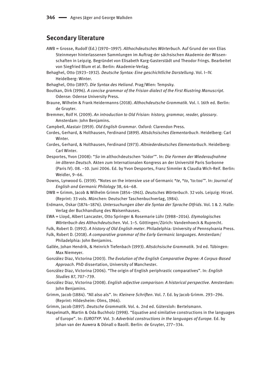# **Secondary literature**

- AWB = Grosse, Rudolf (Ed.) (1970–1997). *Althochdeutsches Wörterbuch*. Auf Grund der von Elias Steinmeyer hinterlassenen Sammlungen im Auftrag der sächsischen Akademie der Wissenschaften in Leipzig. Begründet von Elisabeth Karg-Gasterstädt und Theodor Frings. Bearbeitet von Siegfried Blum et al. Berlin: Akademie-Verlag.
- Behaghel, Otto (1923–1932). *Deutsche Syntax: Eine geschichtliche Darstellung*. Vol. I–IV. Heidelberg: Winter.
- Behaghel, Otto (1897). *Die Syntax des Heliand*. Prag/Wien: Tempsky.
- Boutkan, Dirk (1996). *A concise grammar of the Frisian dialect of the First Riustring Manuscript*. Odense: Odense University Press.
- Braune, Wilhelm & Frank Heidermanns (2018). *Althochdeutsche Grammatik*. Vol. I. 16th ed. Berlin: de Gruyter.
- Bremmer, Rolf H. (2009). *An introduction to Old Frisian: history, grammar, reader, glossary*. Amsterdam: John Benjamins.
- Campbell, Alastair (1959). *Old English Grammar*. Oxford: Clarendon Press.
- Cordes, Gerhard, & Holthausen, Ferdinand (1899). *Altsächsisches Elementarbuch*. Heidelberg: Carl Winter.
- Cordes, Gerhard, & Holthausen, Ferdinand (1973). *Altniederdeutsches Elementarbuch*. Heidelberg: Carl Winter.
- Desportes, Yvon (2008): "*So* im althochdeutschen 'Isidor'". In: *Die Formen der Wiederaufnahme im älteren Deutsch.* Akten zum Internationalen Kongress an der Université Paris Sorbonne (Paris IV). 08. –10. Juni 2006. Ed. by Yvon Desportes, Franz Simmler & Claudia Wich-Reif. Berlin: Weidler, 9–66.
- Downs, Lynwood G. (1939). "Notes on the intensive use of Germanic \**te*, \**to*, 'to:too'". In: *Journal of English and Germanic Philology* 38, 64–68.
- DWB = Grimm, Jacob & Wilhelm Grimm (1854–1961). *Deutsches Wörterbuch*. 32 vols. Leipzig: Hirzel. (Reprint: 33 vols. München: Deutscher Taschenbuchverlag, 1984).
- Erdmann, Oskar (1874–1876). *Untersuchungen über die Syntax der Sprache Otfrids*. Vol. 1 & 2. Halle: Verlag der Buchhandlung des Waisenhauses.
- EWA = Lloyd, Albert Lancaster, Otto Springer & Rosemarie Lühr (1988–2014). *Etymologisches Wörterbuch des Althochdeutschen*. Vol. 1–5. Göttingen/Zürich: Vandenhoeck & Ruprecht.
- Fulk, Robert D. (1992). *A history of Old English meter*. Philadelphia: University of Pennsylvania Press.
- Fulk, Robert D. (2018). *A comparative grammar of the Early Germanic languages*. Amsterdam/ Philadelphia: John Benjamins.
- Gallée, Johan Hendrik, & Heinrich Tiefenbach (1993). *Altsächsische Grammatik*. 3rd ed. Tübingen: Max Niemeyer.
- González Diaz, Victorina (2003). *The Evolution of the English Comparative Degree: A Corpus-Based Approach*. PhD dissertation, University of Manchester.
- González Diaz, Victorina (2006). "The origin of English periphrastic comparatives". In: *English Studies* 87, 707–739.
- González Diaz, Victorina (2008). *English adjective comparison: A historical perspective*. Amsterdam: John Benjamins.
- Grimm, Jacob (1884). "All also als". In: *Kleinere Schriften*. Vol. 7. Ed. by Jacob Grimm. 293–296. (Reprint: Hildesheim: Olms, 1966).
- Grimm, Jacob (1897). *Deutsche Grammatik*. Vol. 4. 2nd ed. Gütersloh: Bertelsmann.
- Haspelmath, Martin & Oda Buchholz (1998). "Equative and similative constructions in the languages of Europe". In: *EUROTYP*. Vol. 3: *Adverbial constructions in the languages of Europe.* Ed. by Johan van der Auwera & Dónall o Baoill. Berlin: de Gruyter, 277–334.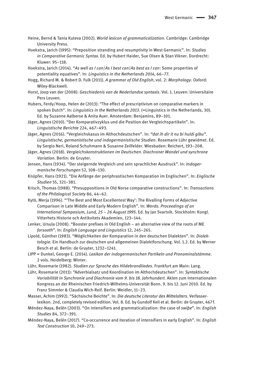- Heine, Bernd & Tania Kuteva (2002). *World lexicon of grammaticalization*. Cambridge: Cambridge University Press.
- Hoekstra, Jarich (1995): "Preposition stranding and resumptivity in West Germanic". In: *Studies in Comparative Germanic Syntax*. Ed. by Hubert Haider, Sue Olsen & Stan Vikner. Dordrecht: Kluwer: 95–118.
- Hoekstra, Jarich (2014). "*As well as I can*/*As I best can*/*As best as I can*: Some properties of potentiality equatives". In: *Linguistics in the Netherlands 2014*, 66–77.
- Hogg, Richard M. & Robert D. Fulk (2011). *A grammar of Old English*, vol. 2: *Morphology*. Oxford: Wiley-Blackwell.
- Horst, Joop van der (2008): *Geschiedenis van de Nederlandse syntaxis*. Vol. 1. Leuven: Universitaire Pers Leuven.
- Hubers, Ferdy/Hoop, Helen de (2013): "The effect of prescriptivism on comparative markers in spoken Dutch". In: *Linguistics in the Netherlands 2013*. (=Linguistics in the Netherlands, 30). Ed. by Suzanne Aalberse & Anita Auer. Amsterdam: Benjamins, 89–101.
- Jäger, Agnes (2010). "Der Komparativzyklus und die Position der Vergleichspartikeln". In: *Linguistische Berichte* 224, 467–493.
- Jäger, Agnes (2016). "Vergleichskasus im Althochdeutschen". In: *"dat ih dir it nu bi huldi gibu". Linguistische, germanistische und indogermanistische Studien*. Rosemarie Lühr gewidmet. Ed. by Sergio Neri, Roland Schuhmann & Susanne Zeilfelder. Wiesbaden: Reichert, 193–208.
- Jäger, Agnes (2018). *Vergleichskonstruktionen im Deutschen. Diachroner Wandel und synchrone Variation.* Berlin: de Gruyter.
- Jensen, Hans (1934). "Der steigernde Vergleich und sein sprachlicher Ausdruck". In: *Indogermanische Forschungen* 52, 108–130.
- Knüpfer, Hans (1921). "Die Anfänge der periphrastischen Komparation im Englischen". In: *Englische Studien* 55, 321–381.
- Krisch, Thomas (1988). "Presuppositions in Old Norse comparative constructions". In: *Transactions of the Philological Society* 86, 44–62.
- Kytö, Merja (1996). "'The Best and Most Excellentest Way': The Rivalling Forms of Adjective Comparison in Late Middle and Early Modern English". In: *Words. Proceedings of an International Symposium, Lund, 25 – 26 August 1995*. Ed. by Jan Svartvik. Stockholm: Kungl. Vitterhets Historie och Antikvitets Akademien, 123–144.
- Lenker, Ursula (2008). "Booster prefixes in Old English an alternative view of the roots of ME *forsooth*". In: *English Language and Linguistics* 12, 245–265.
- Lipold, Günther (1983). "Möglichkeiten der Komparation in den deutschen Dialekten". In: *Dialektologie*. Ein Handbuch zur deutschen und allgemeinen Dialektforschung. Vol. 1.2. Ed. by Werner Besch et al. Berlin: de Gruyter, 1232–1241.
- LIPP = Dunkel, George E. (2014). *Lexikon der indogermanischen Partikeln und Pronominalstämme*. 2 vols. Heidelberg: Winter.
- Lühr, Rosemarie (1982). *Studien zur Sprache des Hildebrandliedes*. Frankfurt am Main: Lang.
- Lühr, Rosemarie (2011): "Adverbialsatz und Koordination im Althochdeutschen". In: *Syntaktische Variabilität in Synchronie und Diachronie vom 9. bis 18. Jahrhundert.* Akten zum Internationalen Kongress an der Rheinischen Friedrich-Wilhelms-Universität Bonn. 9. bis 12. Juni 2010. Ed. by Franz Simmler & Claudia Wich-Reif. Berlin: Weidler, 11–23.
- Masser, Achim (1992). "Sächsische Beichte". In: *Die deutsche Literatur des Mittelalters*. Verfasserlexikon. 2nd, completely revised edition. Vol. 8. Ed. by Gundolf Keil et al. Berlin: de Gruyter, 467 f.
- Méndez-Naya, Belén (2003). "On intensifiers and grammaticalization: the case of *swiþe*". In: *English Studies* 84, 372–391.
- Méndez-Naya, Belén (2017). "Co-occurrence and iteration of intensifiers in early English". In: *English Text Construction* 10, 249–273.